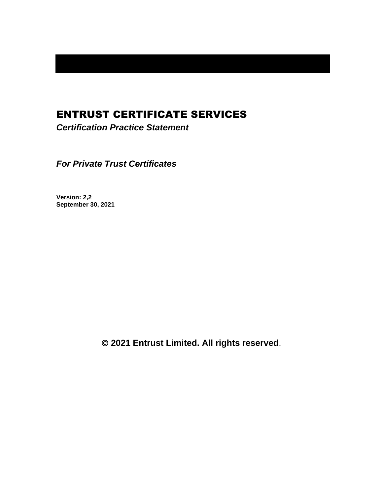# ENTRUST CERTIFICATE SERVICES

*Certification Practice Statement*

*For Private Trust Certificates*

**Version: 2,2 September 30, 2021**

© **2021 Entrust Limited. All rights reserved**.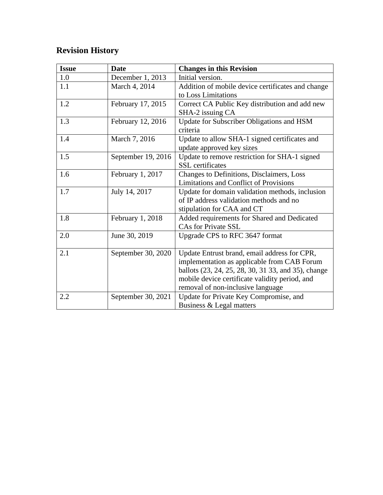# **Revision History**

| <b>Issue</b> | <b>Date</b>        | <b>Changes in this Revision</b>                     |
|--------------|--------------------|-----------------------------------------------------|
| 1.0          | December 1, 2013   | Initial version.                                    |
| 1.1          | March 4, 2014      | Addition of mobile device certificates and change   |
|              |                    | to Loss Limitations                                 |
| 1.2          | February 17, 2015  | Correct CA Public Key distribution and add new      |
|              |                    | SHA-2 issuing CA                                    |
| 1.3          | February 12, 2016  | Update for Subscriber Obligations and HSM           |
|              |                    | criteria                                            |
| 1.4          | March 7, 2016      | Update to allow SHA-1 signed certificates and       |
|              |                    | update approved key sizes                           |
| 1.5          | September 19, 2016 | Update to remove restriction for SHA-1 signed       |
|              |                    | <b>SSL</b> certificates                             |
| 1.6          | February 1, 2017   | Changes to Definitions, Disclaimers, Loss           |
|              |                    | Limitations and Conflict of Provisions              |
| 1.7          | July 14, 2017      | Update for domain validation methods, inclusion     |
|              |                    | of IP address validation methods and no             |
|              |                    | stipulation for CAA and CT                          |
| 1.8          | February 1, 2018   | Added requirements for Shared and Dedicated         |
|              |                    | <b>CAs for Private SSL</b>                          |
| 2.0          | June 30, 2019      | Upgrade CPS to RFC 3647 format                      |
|              |                    |                                                     |
| 2.1          | September 30, 2020 | Update Entrust brand, email address for CPR,        |
|              |                    | implementation as applicable from CAB Forum         |
|              |                    | ballots (23, 24, 25, 28, 30, 31 33, and 35), change |
|              |                    | mobile device certificate validity period, and      |
|              |                    | removal of non-inclusive language                   |
| 2.2          | September 30, 2021 | Update for Private Key Compromise, and              |
|              |                    | Business & Legal matters                            |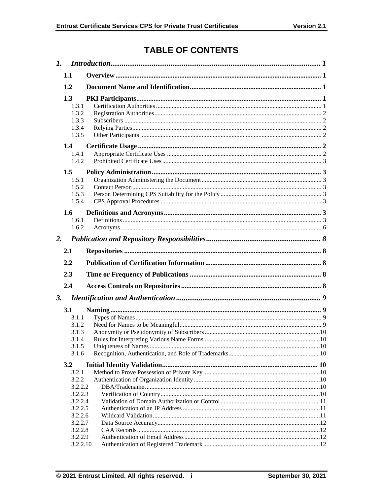# **TABLE OF CONTENTS**

|           | 1.1                                                        |  |
|-----------|------------------------------------------------------------|--|
|           | 1.2                                                        |  |
|           | 1.3<br>1.3.1<br>1.3.2<br>1.3.3                             |  |
|           | 1.3.4<br>1.3.5                                             |  |
|           | 1.4<br>1.4.1<br>1.4.2                                      |  |
|           | 1.5<br>1.5.1<br>1.5.2<br>1.5.3<br>1.5.4                    |  |
|           | 1.6<br>1.6.1<br>1.6.2                                      |  |
| 2.        |                                                            |  |
|           | 2.1                                                        |  |
|           | 2.2                                                        |  |
|           | 2.3                                                        |  |
|           | 2.4                                                        |  |
| <b>3.</b> |                                                            |  |
|           | 3.1<br>3.1.1<br>3.1.2<br>3.1.3<br>3.1.4<br>3.1.5<br>3.1.6  |  |
|           | 3.2                                                        |  |
|           | 3.2.1<br>3.2.2<br>3.2.2.2<br>3.2.2.3<br>3.2.2.4<br>3.2.2.5 |  |
|           | 3.2.2.6<br>3.2.2.7<br>3.2.2.8<br>3.2.2.9<br>3.2.2.10       |  |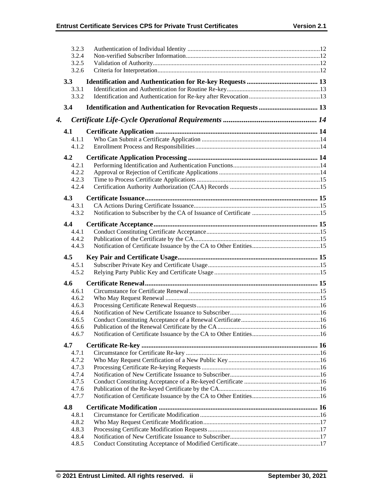|    | 3.2.3          |  |
|----|----------------|--|
|    | 3.2.4          |  |
|    | 3.2.5          |  |
|    | 3.2.6          |  |
|    | 3.3            |  |
|    | 3.3.1          |  |
|    | 3.3.2          |  |
|    | 3.4            |  |
| 4. |                |  |
|    |                |  |
|    | 4.1<br>4.1.1   |  |
|    | 4.1.2          |  |
|    |                |  |
|    | 4.2            |  |
|    | 4.2.1          |  |
|    | 4.2.2          |  |
|    | 4.2.3          |  |
|    | 4.2.4          |  |
|    | 4.3            |  |
|    | 4.3.1          |  |
|    | 4.3.2          |  |
|    | 4.4            |  |
|    | 4.4.1          |  |
|    | 4.4.2          |  |
|    | 4.4.3          |  |
|    | 4.5            |  |
|    | 4.5.1          |  |
|    | 4.5.2          |  |
|    | 4.6            |  |
|    | 4.6.1          |  |
|    | 4.6.2          |  |
|    | 4.6.3          |  |
|    | 4.6.4          |  |
|    | 4.6.5          |  |
|    | 4.6.6          |  |
|    | 4.6.7          |  |
|    | 4.7            |  |
|    | 4.7.1          |  |
|    | 4.7.2          |  |
|    | 4.7.3          |  |
|    | 4.7.4          |  |
|    | 4.7.5          |  |
|    | 4.7.6          |  |
|    | 4.7.7          |  |
|    | 4.8            |  |
|    | 4.8.1          |  |
|    | 4.8.2          |  |
|    | 4.8.3<br>4.8.4 |  |
|    | 4.8.5          |  |
|    |                |  |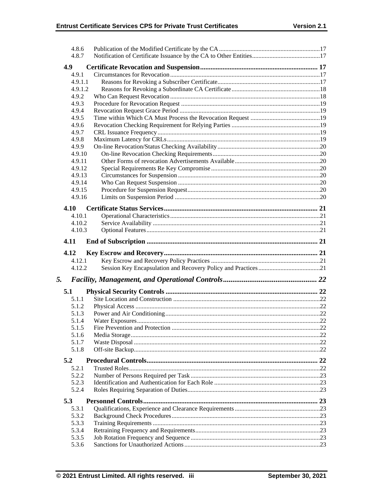|    | 4.8.6          |  |
|----|----------------|--|
|    | 4.8.7          |  |
|    | 4.9            |  |
|    | 4.9.1          |  |
|    | 4.9.1.1        |  |
|    | 4.9.1.2        |  |
|    | 4.9.2          |  |
|    |                |  |
|    | 4.9.3<br>4.9.4 |  |
|    | 4.9.5          |  |
|    |                |  |
|    | 4.9.6          |  |
|    | 4.9.7          |  |
|    | 4.9.8          |  |
|    | 4.9.9          |  |
|    | 4.9.10         |  |
|    | 4.9.11         |  |
|    | 4.9.12         |  |
|    | 4.9.13         |  |
|    | 4.9.14         |  |
|    | 4.9.15         |  |
|    | 4.9.16         |  |
|    | 4.10           |  |
|    | 4.10.1         |  |
|    | 4.10.2         |  |
|    | 4.10.3         |  |
|    |                |  |
|    | 4.11           |  |
|    |                |  |
|    |                |  |
|    | 4.12           |  |
|    | 4.12.1         |  |
|    | 4.12.2         |  |
| 5. |                |  |
|    |                |  |
|    | 5.1            |  |
|    | 5.1.1          |  |
|    | 5.1.2          |  |
|    | 5.1.3          |  |
|    | 5.1.4          |  |
|    | 5.1.5          |  |
|    | 5.1.6          |  |
|    | 5.1.7          |  |
|    | 5.1.8          |  |
|    | 5.2            |  |
|    | 5.2.1          |  |
|    | 5.2.2          |  |
|    | 5.2.3          |  |
|    | 5.2.4          |  |
|    |                |  |
|    | 5.3            |  |
|    | 5.3.1          |  |
|    | 5.3.2          |  |
|    | 5.3.3          |  |
|    | 5.3.4          |  |
|    | 5.3.5<br>5.3.6 |  |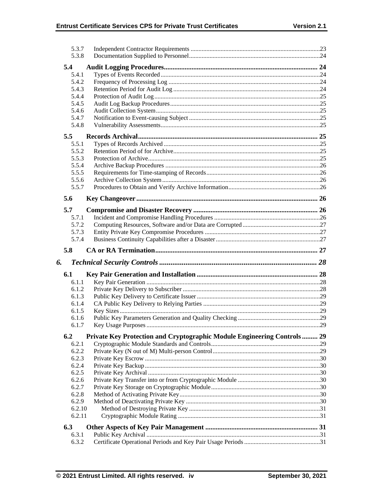|    | 5.3.7<br>5.3.8   |                                                                         |  |
|----|------------------|-------------------------------------------------------------------------|--|
|    | 5.4              |                                                                         |  |
|    | 5.4.1            |                                                                         |  |
|    | 5.4.2            |                                                                         |  |
|    | 5.4.3            |                                                                         |  |
|    | 5.4.4            |                                                                         |  |
|    | 5.4.5            |                                                                         |  |
|    | 5.4.6            |                                                                         |  |
|    | 5.4.7            |                                                                         |  |
|    | 5.4.8            |                                                                         |  |
|    | 5.5              |                                                                         |  |
|    | 5.5.1            |                                                                         |  |
|    | 5.5.2            |                                                                         |  |
|    | 5.5.3            |                                                                         |  |
|    | 5.5.4            |                                                                         |  |
|    | 5.5.5            |                                                                         |  |
|    | 5.5.6            |                                                                         |  |
|    | 5.5.7            |                                                                         |  |
|    | 5.6              |                                                                         |  |
|    | 5.7              |                                                                         |  |
|    | 5.7.1            |                                                                         |  |
|    | 5.7.2            |                                                                         |  |
|    | 5.7.3            |                                                                         |  |
|    | 5.7.4            |                                                                         |  |
|    | 5.8              |                                                                         |  |
|    |                  |                                                                         |  |
|    |                  |                                                                         |  |
| 6. |                  |                                                                         |  |
|    | 6.1              |                                                                         |  |
|    | 6.1.1            |                                                                         |  |
|    | 6.1.2            |                                                                         |  |
|    | 6.1.3            |                                                                         |  |
|    | 6.1.4            |                                                                         |  |
|    | 6.1.5            |                                                                         |  |
|    | 6.1.6<br>6.1.7   |                                                                         |  |
|    |                  |                                                                         |  |
|    | 6.2              | Private Key Protection and Cryptographic Module Engineering Controls 29 |  |
|    | 6.2.1            |                                                                         |  |
|    | 6.2.2            |                                                                         |  |
|    | 6.2.3            |                                                                         |  |
|    | 6.2.4            |                                                                         |  |
|    | 6.2.5            |                                                                         |  |
|    | 6.2.6            |                                                                         |  |
|    | 6.2.7            |                                                                         |  |
|    | 6.2.8            |                                                                         |  |
|    | 6.2.9            |                                                                         |  |
|    | 6.2.10<br>6.2.11 |                                                                         |  |
|    | 6.3              |                                                                         |  |
|    | 6.3.1            |                                                                         |  |
|    | 6.3.2            |                                                                         |  |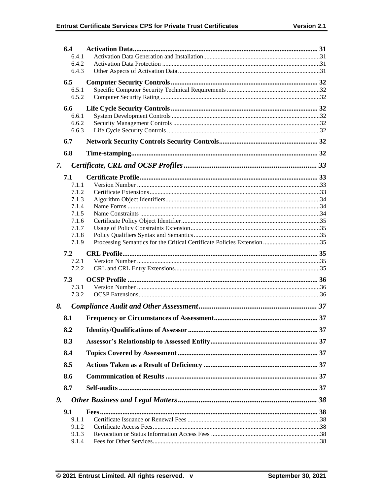|    | 6.4            |  |
|----|----------------|--|
|    | 6.4.1          |  |
|    | 6.4.2          |  |
|    | 6.4.3          |  |
|    | 6.5            |  |
|    | 6.5.1          |  |
|    | 6.5.2          |  |
|    | 6.6            |  |
|    | 6.6.1          |  |
|    | 6.6.2          |  |
|    | 6.6.3          |  |
|    | 6.7            |  |
|    | 6.8            |  |
| 7. |                |  |
|    |                |  |
|    | 7.1            |  |
|    | 7.1.1<br>7.1.2 |  |
|    | 7.1.3          |  |
|    | 7.1.4          |  |
|    | 7.1.5          |  |
|    | 7.1.6          |  |
|    | 7.1.7          |  |
|    | 7.1.8          |  |
|    | 7.1.9          |  |
|    |                |  |
|    | 7.2            |  |
|    | 7.2.1          |  |
|    | 7.2.2          |  |
|    | 7.3            |  |
|    | 7.3.1          |  |
|    | 7.3.2          |  |
| 8. |                |  |
|    | 8.1            |  |
|    | 8.2            |  |
|    | 8.3            |  |
|    | 8.4            |  |
|    | 8.5            |  |
|    | 8.6            |  |
|    | 8.7            |  |
| 9. |                |  |
|    | 9.1            |  |
|    | 9.1.1          |  |
|    | 9.1.2          |  |
|    | 9.1.3<br>9.1.4 |  |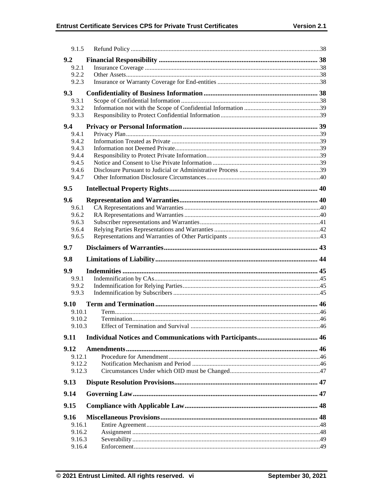| 9.1.5            |  |
|------------------|--|
| 9.2              |  |
| 9.2.1            |  |
| 9.2.2            |  |
| 9.2.3            |  |
| 9.3              |  |
| 9.3.1            |  |
| 9.3.2<br>9.3.3   |  |
|                  |  |
| 9.4              |  |
| 9.4.1<br>9.4.2   |  |
| 9.4.3            |  |
| 9.4.4            |  |
| 9.4.5            |  |
| 9.4.6            |  |
| 9.4.7            |  |
| 9.5              |  |
| 9.6              |  |
| 9.6.1            |  |
| 9.6.2            |  |
| 9.6.3            |  |
| 9.6.4            |  |
| 9.6.5            |  |
| 9.7              |  |
|                  |  |
| 9.8              |  |
| 9.9              |  |
| 9.9.1            |  |
| 9.9.2            |  |
| 9.9.3            |  |
| 9.10             |  |
| 9.10.1           |  |
| 9.10.2           |  |
| 9.10.3           |  |
| 9.11             |  |
| 9.12             |  |
| 9.12.1           |  |
| 9.12.2           |  |
| 9.12.3           |  |
| 9.13             |  |
| 9.14             |  |
| 9.15             |  |
| 9.16             |  |
| 9.16.1           |  |
| 9.16.2           |  |
| 9.16.3<br>9.16.4 |  |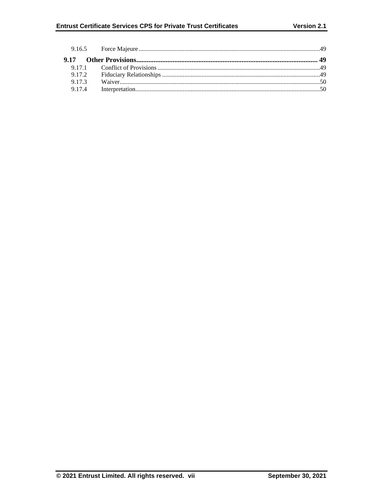| 9.17.2 |  |
|--------|--|
| 9.17.3 |  |
| 9.17.4 |  |
|        |  |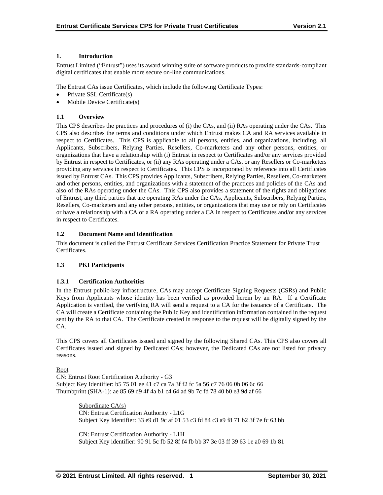## **1. Introduction**

Entrust Limited ("Entrust") uses its award winning suite of software products to provide standards-compliant digital certificates that enable more secure on-line communications.

The Entrust CAs issue Certificates, which include the following Certificate Types:

- Private SSL Certificate(s)
- Mobile Device Certificate(s)

## **1.1 Overview**

This CPS describes the practices and procedures of (i) the CAs, and (ii) RAs operating under the CAs. This CPS also describes the terms and conditions under which Entrust makes CA and RA services available in respect to Certificates. This CPS is applicable to all persons, entities, and organizations, including, all Applicants, Subscribers, Relying Parties, Resellers, Co-marketers and any other persons, entities, or organizations that have a relationship with (i) Entrust in respect to Certificates and/or any services provided by Entrust in respect to Certificates, or (ii) any RAs operating under a CAs, or any Resellers or Co-marketers providing any services in respect to Certificates. This CPS is incorporated by reference into all Certificates issued by Entrust CAs. This CPS provides Applicants, Subscribers, Relying Parties, Resellers, Co-marketers and other persons, entities, and organizations with a statement of the practices and policies of the CAs and also of the RAs operating under the CAs. This CPS also provides a statement of the rights and obligations of Entrust, any third parties that are operating RAs under the CAs, Applicants, Subscribers, Relying Parties, Resellers, Co-marketers and any other persons, entities, or organizations that may use or rely on Certificates or have a relationship with a CA or a RA operating under a CA in respect to Certificates and/or any services in respect to Certificates.

## **1.2 Document Name and Identification**

This document is called the Entrust Certificate Services Certification Practice Statement for Private Trust Certificates.

## **1.3 PKI Participants**

#### **1.3.1 Certification Authorities**

In the Entrust public-key infrastructure, CAs may accept Certificate Signing Requests (CSRs) and Public Keys from Applicants whose identity has been verified as provided herein by an RA. If a Certificate Application is verified, the verifying RA will send a request to a CA for the issuance of a Certificate. The CA will create a Certificate containing the Public Key and identification information contained in the request sent by the RA to that CA. The Certificate created in response to the request will be digitally signed by the CA.

This CPS covers all Certificates issued and signed by the following Shared CAs. This CPS also covers all Certificates issued and signed by Dedicated CAs; however, the Dedicated CAs are not listed for privacy reasons.

#### Root

CN: Entrust Root Certification Authority - G3 Subject Key Identifier: b5 75 01 ee 41 c7 ca 7a 3f f2 fc 5a 56 c7 76 06 0b 06 6c 66 Thumbprint (SHA-1): ae 85 69 d9 4f 4a b1 c4 64 ad 9b 7c fd 78 40 b0 e3 9d af 66

> Subordinate CA(s) CN: Entrust Certification Authority - L1G Subject Key Identifier: 33 e9 d1 9c af 01 53 c3 fd 84 c3 a9 f8 71 b2 3f 7e fc 63 bb

> CN: Entrust Certification Authority - L1H Subject Key identifier: 90 91 5c fb 52 8f f4 fb bb 37 3e 03 ff 39 63 1e a0 69 1b 81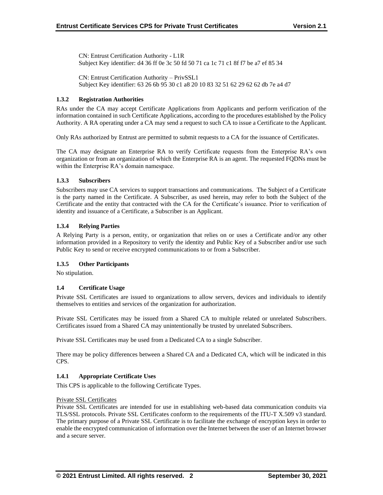CN: Entrust Certification Authority - L1R Subject Key identifier: d4 36 ff 0e 3c 50 fd 50 71 ca 1c 71 c1 8f f7 be a7 ef 85 34

CN: Entrust Certification Authority – PrivSSL1 Subject Key identifier: 63 26 6b 95 30 c1 a8 20 10 83 32 51 62 29 62 62 db 7e a4 d7

## **1.3.2 Registration Authorities**

RAs under the CA may accept Certificate Applications from Applicants and perform verification of the information contained in such Certificate Applications, according to the procedures established by the Policy Authority. A RA operating under a CA may send a request to such CA to issue a Certificate to the Applicant.

Only RAs authorized by Entrust are permitted to submit requests to a CA for the issuance of Certificates.

The CA may designate an Enterprise RA to verify Certificate requests from the Enterprise RA's own organization or from an organization of which the Enterprise RA is an agent. The requested FQDNs must be within the Enterprise RA's domain namespace.

## **1.3.3 Subscribers**

Subscribers may use CA services to support transactions and communications. The Subject of a Certificate is the party named in the Certificate. A Subscriber, as used herein, may refer to both the Subject of the Certificate and the entity that contracted with the CA for the Certificate's issuance. Prior to verification of identity and issuance of a Certificate, a Subscriber is an Applicant.

## **1.3.4 Relying Parties**

A Relying Party is a person, entity, or organization that relies on or uses a Certificate and/or any other information provided in a Repository to verify the identity and Public Key of a Subscriber and/or use such Public Key to send or receive encrypted communications to or from a Subscriber.

## **1.3.5 Other Participants**

No stipulation.

#### **1.4 Certificate Usage**

Private SSL Certificates are issued to organizations to allow servers, devices and individuals to identify themselves to entities and services of the organization for authorization.

Private SSL Certificates may be issued from a Shared CA to multiple related or unrelated Subscribers. Certificates issued from a Shared CA may unintentionally be trusted by unrelated Subscribers.

Private SSL Certificates may be used from a Dedicated CA to a single Subscriber.

There may be policy differences between a Shared CA and a Dedicated CA, which will be indicated in this CPS.

#### **1.4.1 Appropriate Certificate Uses**

This CPS is applicable to the following Certificate Types.

#### Private SSL Certificates

Private SSL Certificates are intended for use in establishing web-based data communication conduits via TLS/SSL protocols. Private SSL Certificates conform to the requirements of the ITU-T X.509 v3 standard. The primary purpose of a Private SSL Certificate is to facilitate the exchange of encryption keys in order to enable the encrypted communication of information over the Internet between the user of an Internet browser and a secure server.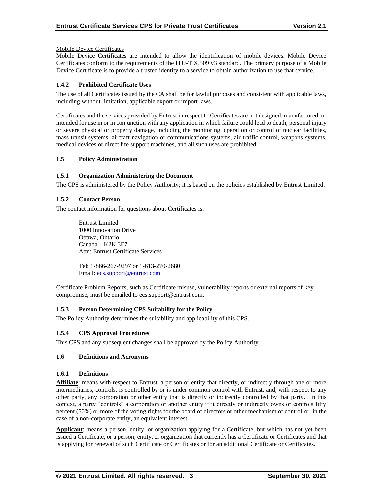## Mobile Device Certificates

Mobile Device Certificates are intended to allow the identification of mobile devices. Mobile Device Certificates conform to the requirements of the ITU-T X.509 v3 standard. The primary purpose of a Mobile Device Certificate is to provide a trusted identity to a service to obtain authorization to use that service.

## **1.4.2 Prohibited Certificate Uses**

The use of all Certificates issued by the CA shall be for lawful purposes and consistent with applicable laws, including without limitation, applicable export or import laws.

Certificates and the services provided by Entrust in respect to Certificates are not designed, manufactured, or intended for use in or in conjunction with any application in which failure could lead to death, personal injury or severe physical or property damage, including the monitoring, operation or control of nuclear facilities, mass transit systems, aircraft navigation or communications systems, air traffic control, weapons systems, medical devices or direct life support machines, and all such uses are prohibited.

#### **1.5 Policy Administration**

## **1.5.1 Organization Administering the Document**

The CPS is administered by the Policy Authority; it is based on the policies established by Entrust Limited.

## **1.5.2 Contact Person**

The contact information for questions about Certificates is:

Entrust Limited 1000 Innovation Drive Ottawa, Ontario Canada K2K 3E7 Attn: Entrust Certificate Services

Tel: 1-866-267-9297 or 1-613-270-2680 Email: [ecs.support@entrust.com](mailto:ecs.support@entrust.com)

Certificate Problem Reports, such as Certificate misuse, vulnerability reports or external reports of key compromise, must be emailed to ecs.support@entrust.com.

## **1.5.3 Person Determining CPS Suitability for the Policy**

The Policy Authority determines the suitability and applicability of this CPS.

## **1.5.4 CPS Approval Procedures**

This CPS and any subsequent changes shall be approved by the Policy Authority.

#### **1.6 Definitions and Acronyms**

#### **1.6.1 Definitions**

**Affiliate**: means with respect to Entrust, a person or entity that directly, or indirectly through one or more intermediaries, controls, is controlled by or is under common control with Entrust, and, with respect to any other party, any corporation or other entity that is directly or indirectly controlled by that party. In this context, a party "controls" a corporation or another entity if it directly or indirectly owns or controls fifty percent (50%) or more of the voting rights for the board of directors or other mechanism of control or, in the case of a non-corporate entity, an equivalent interest.

**Applicant**: means a person, entity, or organization applying for a Certificate, but which has not yet been issued a Certificate, or a person, entity, or organization that currently has a Certificate or Certificates and that is applying for renewal of such Certificate or Certificates or for an additional Certificate or Certificates.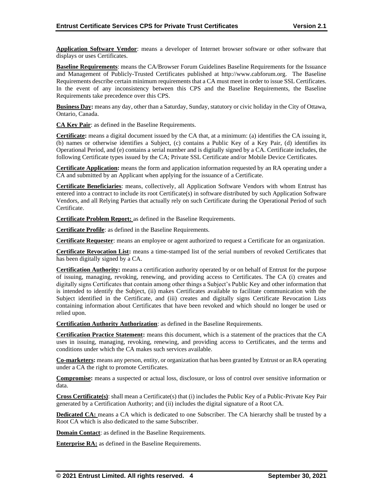**Application Software Vendor**: means a developer of Internet browser software or other software that displays or uses Certificates.

**Baseline Requirements**: means the CA/Browser Forum Guidelines Baseline Requirements for the Issuance and Management of Publicly-Trusted Certificates published at http://www.cabforum.org. The Baseline Requirements describe certain minimum requirements that a CA must meet in order to issue SSL Certificates. In the event of any inconsistency between this CPS and the Baseline Requirements, the Baseline Requirements take precedence over this CPS.

**Business Day:** means any day, other than a Saturday, Sunday, statutory or civic holiday in the City of Ottawa, Ontario, Canada.

**CA Key Pair**: as defined in the Baseline Requirements.

**Certificate:** means a digital document issued by the CA that, at a minimum: (a) identifies the CA issuing it, (b) names or otherwise identifies a Subject, (c) contains a Public Key of a Key Pair, (d) identifies its Operational Period, and (e) contains a serial number and is digitally signed by a CA. Certificate includes, the following Certificate types issued by the CA; Private SSL Certificate and/or Mobile Device Certificates.

**Certificate Application:** means the form and application information requested by an RA operating under a CA and submitted by an Applicant when applying for the issuance of a Certificate.

**Certificate Beneficiaries**: means, collectively, all Application Software Vendors with whom Entrust has entered into a contract to include its root Certificate(s) in software distributed by such Application Software Vendors, and all Relying Parties that actually rely on such Certificate during the Operational Period of such Certificate.

**Certificate Problem Report:** as defined in the Baseline Requirements.

**Certificate Profile**: as defined in the Baseline Requirements.

**Certificate Requester**: means an employee or agent authorized to request a Certificate for an organization.

**Certificate Revocation List:** means a time-stamped list of the serial numbers of revoked Certificates that has been digitally signed by a CA.

**Certification Authority:** means a certification authority operated by or on behalf of Entrust for the purpose of issuing, managing, revoking, renewing, and providing access to Certificates. The CA (i) creates and digitally signs Certificates that contain among other things a Subject's Public Key and other information that is intended to identify the Subject, (ii) makes Certificates available to facilitate communication with the Subject identified in the Certificate, and (iii) creates and digitally signs Certificate Revocation Lists containing information about Certificates that have been revoked and which should no longer be used or relied upon.

**Certification Authority Authorization**: as defined in the Baseline Requirements.

**Certification Practice Statement:** means this document, which is a statement of the practices that the CA uses in issuing, managing, revoking, renewing, and providing access to Certificates, and the terms and conditions under which the CA makes such services available.

**Co-marketers:** means any person, entity, or organization that has been granted by Entrust or an RA operating under a CA the right to promote Certificates.

**Compromise:** means a suspected or actual loss, disclosure, or loss of control over sensitive information or data.

**Cross Certificate(s)**: shall mean a Certificate(s) that (i) includes the Public Key of a Public-Private Key Pair generated by a Certification Authority; and (ii) includes the digital signature of a Root CA.

**Dedicated CA:** means a CA which is dedicated to one Subscriber. The CA hierarchy shall be trusted by a Root CA which is also dedicated to the same Subscriber.

**Domain Contact**: as defined in the Baseline Requirements.

**Enterprise RA:** as defined in the Baseline Requirements.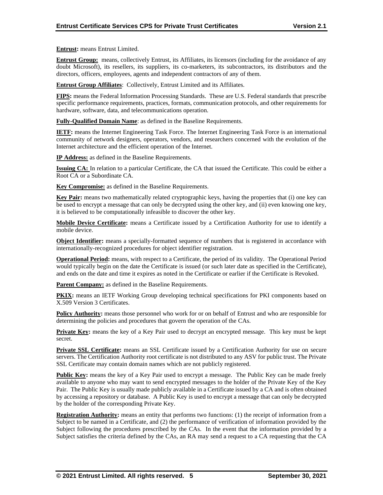**Entrust:** means Entrust Limited.

**Entrust Group:** means, collectively Entrust, its Affiliates, its licensors (including for the avoidance of any doubt Microsoft), its resellers, its suppliers, its co-marketers, its subcontractors, its distributors and the directors, officers, employees, agents and independent contractors of any of them.

**Entrust Group Affiliates**: Collectively, Entrust Limited and its Affiliates.

**FIPS:** means the Federal Information Processing Standards. These are U.S. Federal standards that prescribe specific performance requirements, practices, formats, communication protocols, and other requirements for hardware, software, data, and telecommunications operation.

**Fully-Qualified Domain Name**: as defined in the Baseline Requirements.

**IETF:** means the Internet Engineering Task Force. The Internet Engineering Task Force is an international community of network designers, operators, vendors, and researchers concerned with the evolution of the Internet architecture and the efficient operation of the Internet.

**IP Address:** as defined in the Baseline Requirements.

**Issuing CA:** In relation to a particular Certificate, the CA that issued the Certificate. This could be either a Root CA or a Subordinate CA.

**Key Compromise:** as defined in the Baseline Requirements.

**Key Pair:** means two mathematically related cryptographic keys, having the properties that (i) one key can be used to encrypt a message that can only be decrypted using the other key, and (ii) even knowing one key, it is believed to be computationally infeasible to discover the other key.

**Mobile Device Certificate:** means a Certificate issued by a Certification Authority for use to identify a mobile device.

**Object Identifier:** means a specially-formatted sequence of numbers that is registered in accordance with internationally-recognized procedures for object identifier registration.

**Operational Period:** means, with respect to a Certificate, the period of its validity. The Operational Period would typically begin on the date the Certificate is issued (or such later date as specified in the Certificate), and ends on the date and time it expires as noted in the Certificate or earlier if the Certificate is Revoked.

**Parent Company:** as defined in the Baseline Requirements.

**PKIX:** means an IETF Working Group developing technical specifications for PKI components based on X.509 Version 3 Certificates.

**Policy Authority:** means those personnel who work for or on behalf of Entrust and who are responsible for determining the policies and procedures that govern the operation of the CAs.

**Private Key:** means the key of a Key Pair used to decrypt an encrypted message. This key must be kept secret.

**Private SSL Certificate:** means an SSL Certificate issued by a Certification Authority for use on secure servers. The Certification Authority root certificate is not distributed to any ASV for public trust. The Private SSL Certificate may contain domain names which are not publicly registered.

**Public Key:** means the key of a Key Pair used to encrypt a message. The Public Key can be made freely available to anyone who may want to send encrypted messages to the holder of the Private Key of the Key Pair. The Public Key is usually made publicly available in a Certificate issued by a CA and is often obtained by accessing a repository or database. A Public Key is used to encrypt a message that can only be decrypted by the holder of the corresponding Private Key.

**Registration Authority:** means an entity that performs two functions: (1) the receipt of information from a Subject to be named in a Certificate, and (2) the performance of verification of information provided by the Subject following the procedures prescribed by the CAs. In the event that the information provided by a Subject satisfies the criteria defined by the CAs, an RA may send a request to a CA requesting that the CA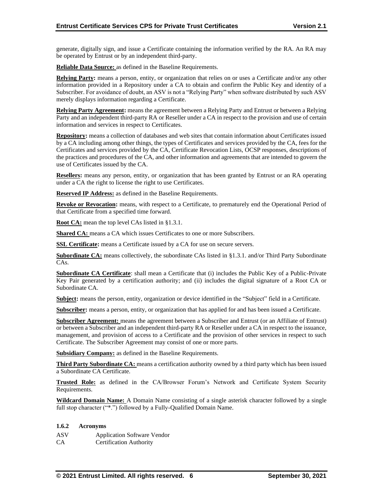generate, digitally sign, and issue a Certificate containing the information verified by the RA. An RA may be operated by Entrust or by an independent third-party.

**Reliable Data Source:** as defined in the Baseline Requirements.

**Relying Party:** means a person, entity, or organization that relies on or uses a Certificate and/or any other information provided in a Repository under a CA to obtain and confirm the Public Key and identity of a Subscriber. For avoidance of doubt, an ASV is not a "Relying Party" when software distributed by such ASV merely displays information regarding a Certificate.

**Relying Party Agreement:** means the agreement between a Relying Party and Entrust or between a Relying Party and an independent third-party RA or Reseller under a CA in respect to the provision and use of certain information and services in respect to Certificates.

**Repository:** means a collection of databases and web sites that contain information about Certificates issued by a CA including among other things, the types of Certificates and services provided by the CA, fees for the Certificates and services provided by the CA, Certificate Revocation Lists, OCSP responses, descriptions of the practices and procedures of the CA, and other information and agreements that are intended to govern the use of Certificates issued by the CA.

**Resellers:** means any person, entity, or organization that has been granted by Entrust or an RA operating under a CA the right to license the right to use Certificates.

**Reserved IP Address:** as defined in the Baseline Requirements.

**Revoke or Revocation:** means, with respect to a Certificate, to prematurely end the Operational Period of that Certificate from a specified time forward.

**Root CA:** mean the top level CAs listed in §1.3.1.

Shared CA: means a CA which issues Certificates to one or more Subscribers.

**SSL Certificate:** means a Certificate issued by a CA for use on secure servers.

**Subordinate CA:** means collectively, the subordinate CAs listed in §1.3.1. and/or Third Party Subordinate CAs.

**Subordinate CA Certificate**: shall mean a Certificate that (i) includes the Public Key of a Public-Private Key Pair generated by a certification authority; and (ii) includes the digital signature of a Root CA or Subordinate CA.

**Subject:** means the person, entity, organization or device identified in the "Subject" field in a Certificate.

**Subscriber:** means a person, entity, or organization that has applied for and has been issued a Certificate.

**Subscriber Agreement:** means the agreement between a Subscriber and Entrust (or an Affiliate of Entrust) or between a Subscriber and an independent third-party RA or Reseller under a CA in respect to the issuance, management, and provision of access to a Certificate and the provision of other services in respect to such Certificate. The Subscriber Agreement may consist of one or more parts.

**Subsidiary Company:** as defined in the Baseline Requirements.

**Third Party Subordinate CA:** means a certification authority owned by a third party which has been issued a Subordinate CA Certificate.

**Trusted Role:** as defined in the CA/Browser Forum's Network and Certificate System Security Requirements.

**Wildcard Domain Name:** A Domain Name consisting of a single asterisk character followed by a single full stop character ("\*.") followed by a Fully-Qualified Domain Name.

#### **1.6.2 Acronyms**

ASV Application Software Vendor

CA Certification Authority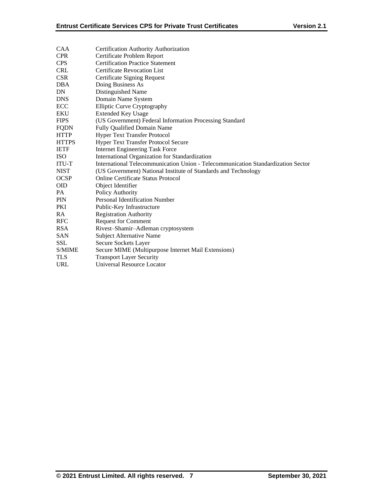| <b>CAA</b>   | Certification Authority Authorization                                            |
|--------------|----------------------------------------------------------------------------------|
| <b>CPR</b>   | Certificate Problem Report                                                       |
| <b>CPS</b>   | <b>Certification Practice Statement</b>                                          |
| <b>CRL</b>   | <b>Certificate Revocation List</b>                                               |
| <b>CSR</b>   | Certificate Signing Request                                                      |
| <b>DBA</b>   | Doing Business As                                                                |
| DN           | Distinguished Name                                                               |
| <b>DNS</b>   | Domain Name System                                                               |
| ECC          | <b>Elliptic Curve Cryptography</b>                                               |
| <b>EKU</b>   | <b>Extended Key Usage</b>                                                        |
| <b>FIPS</b>  | (US Government) Federal Information Processing Standard                          |
| <b>FQDN</b>  | <b>Fully Qualified Domain Name</b>                                               |
| <b>HTTP</b>  | <b>Hyper Text Transfer Protocol</b>                                              |
| <b>HTTPS</b> | Hyper Text Transfer Protocol Secure                                              |
| <b>IETF</b>  | <b>Internet Engineering Task Force</b>                                           |
| <b>ISO</b>   | International Organization for Standardization                                   |
| <b>ITU-T</b> | International Telecommunication Union - Telecommunication Standardization Sector |
| <b>NIST</b>  | (US Government) National Institute of Standards and Technology                   |
| <b>OCSP</b>  | <b>Online Certificate Status Protocol</b>                                        |
| <b>OID</b>   | Object Identifier                                                                |
| PA           | Policy Authority                                                                 |
| PIN          | Personal Identification Number                                                   |
| PKI          | Public-Key Infrastructure                                                        |
| RA           | <b>Registration Authority</b>                                                    |
| <b>RFC</b>   | <b>Request for Comment</b>                                                       |
| <b>RSA</b>   | Rivest-Shamir-Adleman cryptosystem                                               |
| <b>SAN</b>   | <b>Subject Alternative Name</b>                                                  |
| <b>SSL</b>   | Secure Sockets Layer                                                             |
| S/MIME       | Secure MIME (Multipurpose Internet Mail Extensions)                              |
| <b>TLS</b>   | <b>Transport Layer Security</b>                                                  |
| <b>URL</b>   | Universal Resource Locator                                                       |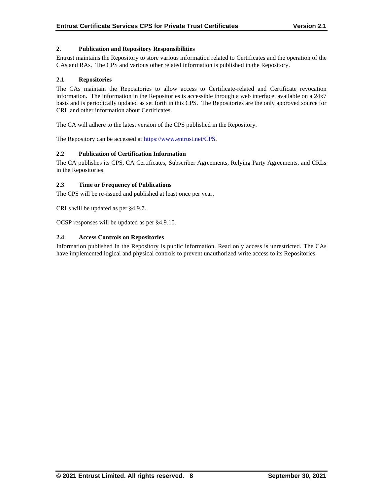## **2. Publication and Repository Responsibilities**

Entrust maintains the Repository to store various information related to Certificates and the operation of the CAs and RAs. The CPS and various other related information is published in the Repository.

#### **2.1 Repositories**

The CAs maintain the Repositories to allow access to Certificate-related and Certificate revocation information. The information in the Repositories is accessible through a web interface, available on a 24x7 basis and is periodically updated as set forth in this CPS. The Repositories are the only approved source for CRL and other information about Certificates.

The CA will adhere to the latest version of the CPS published in the Repository.

The Repository can be accessed at [https://www.entrust.net/CPS.](https://www.entrust.net/CPS)

#### **2.2 Publication of Certification Information**

The CA publishes its CPS, CA Certificates, Subscriber Agreements, Relying Party Agreements, and CRLs in the Repositories.

#### **2.3 Time or Frequency of Publications**

The CPS will be re-issued and published at least once per year.

CRLs will be updated as per §4.9.7.

OCSP responses will be updated as per §4.9.10.

#### **2.4 Access Controls on Repositories**

Information published in the Repository is public information. Read only access is unrestricted. The CAs have implemented logical and physical controls to prevent unauthorized write access to its Repositories.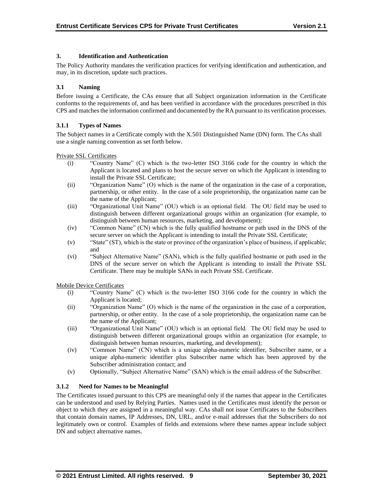## **3. Identification and Authentication**

The Policy Authority mandates the verification practices for verifying identification and authentication, and may, in its discretion, update such practices.

## **3.1 Naming**

Before issuing a Certificate, the CAs ensure that all Subject organization information in the Certificate conforms to the requirements of, and has been verified in accordance with the procedures prescribed in this CPS and matches the information confirmed and documented by the RA pursuant to its verification processes.

## **3.1.1 Types of Names**

The Subject names in a Certificate comply with the X.501 Distinguished Name (DN) form. The CAs shall use a single naming convention as set forth below.

Private SSL Certificates

- (i) "Country Name" (C) which is the two-letter ISO 3166 code for the country in which the Applicant is located and plans to host the secure server on which the Applicant is intending to install the Private SSL Certificate;
- (ii) "Organization Name" (O) which is the name of the organization in the case of a corporation, partnership, or other entity. In the case of a sole proprietorship, the organization name can be the name of the Applicant;
- (iii) "Organizational Unit Name" (OU) which is an optional field. The OU field may be used to distinguish between different organizational groups within an organization (for example, to distinguish between human resources, marketing, and development);
- (iv) "Common Name" (CN) which is the fully qualified hostname or path used in the DNS of the secure server on which the Applicant is intending to install the Private SSL Certificate;
- (v) "State" (ST), which is the state or province of the organization's place of business, if applicable; and
- (vi) "Subject Alternative Name" (SAN), which is the fully qualified hostname or path used in the DNS of the secure server on which the Applicant is intending to install the Private SSL Certificate. There may be multiple SANs in each Private SSL Certificate.

Mobile Device Certificates

- (i) "Country Name" (C) which is the two-letter ISO 3166 code for the country in which the Applicant is located;
- (ii) "Organization Name" (O) which is the name of the organization in the case of a corporation, partnership, or other entity. In the case of a sole proprietorship, the organization name can be the name of the Applicant;
- (iii) "Organizational Unit Name" (OU) which is an optional field. The OU field may be used to distinguish between different organizational groups within an organization (for example, to distinguish between human resources, marketing, and development);
- (iv) "Common Name" (CN) which is a unique alpha-numeric identifier, Subscriber name, or a unique alpha-numeric identifier plus Subscriber name which has been approved by the Subscriber administration contact; and
- (v) Optionally, "Subject Alternative Name" (SAN) which is the email address of the Subscriber.

## **3.1.2 Need for Names to be Meaningful**

The Certificates issued pursuant to this CPS are meaningful only if the names that appear in the Certificates can be understood and used by Relying Parties. Names used in the Certificates must identify the person or object to which they are assigned in a meaningful way. CAs shall not issue Certificates to the Subscribers that contain domain names, IP Addresses, DN, URL, and/or e-mail addresses that the Subscribers do not legitimately own or control. Examples of fields and extensions where these names appear include subject DN and subject alternative names.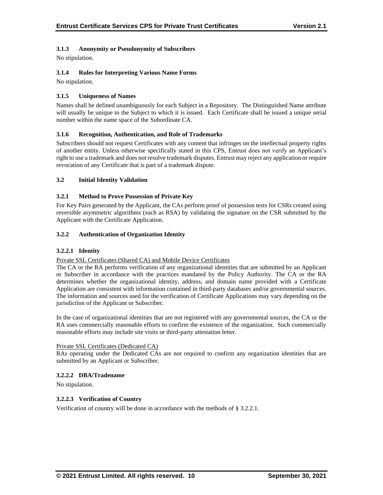## **3.1.3 Anonymity or Pseudonymity of Subscribers**

No stipulation.

## **3.1.4 Rules for Interpreting Various Name Forms**

No stipulation.

## **3.1.5 Uniqueness of Names**

Names shall be defined unambiguously for each Subject in a Repository. The Distinguished Name attribute will usually be unique to the Subject to which it is issued. Each Certificate shall be issued a unique serial number within the name space of the Subordinate CA.

## **3.1.6 Recognition, Authentication, and Role of Trademarks**

Subscribers should not request Certificates with any content that infringes on the intellectual property rights of another entity. Unless otherwise specifically stated in this CPS, Entrust does not verify an Applicant's right to use a trademark and does not resolve trademark disputes. Entrust may reject any application or require revocation of any Certificate that is part of a trademark dispute.

## **3.2 Initial Identity Validation**

## **3.2.1 Method to Prove Possession of Private Key**

For Key Pairs generated by the Applicant, the CAs perform proof of possession tests for CSRs created using reversible asymmetric algorithms (such as RSA) by validating the signature on the CSR submitted by the Applicant with the Certificate Application.

## **3.2.2 Authentication of Organization Identity**

#### **3.2.2.1 Identity**

#### Private SSL Certificates (Shared CA) and Mobile Device Certificates

The CA or the RA performs verification of any organizational identities that are submitted by an Applicant or Subscriber in accordance with the practices mandated by the Policy Authority. The CA or the RA determines whether the organizational identity, address, and domain name provided with a Certificate Application are consistent with information contained in third-party databases and/or governmental sources. The information and sources used for the verification of Certificate Applications may vary depending on the jurisdiction of the Applicant or Subscriber.

In the case of organizational identities that are not registered with any governmental sources, the CA or the RA uses commercially reasonable efforts to confirm the existence of the organization. Such commercially reasonable efforts may include site visits or third-party attestation letter.

#### Private SSL Certificates (Dedicated CA)

RAs operating under the Dedicated CAs are not required to confirm any organization identities that are submitted by an Applicant or Subscriber.

#### **3.2.2.2 DBA/Tradename**

No stipulation.

#### **3.2.2.3 Verification of Country**

Verification of country will be done in accordance with the methods of § 3.2.2.1.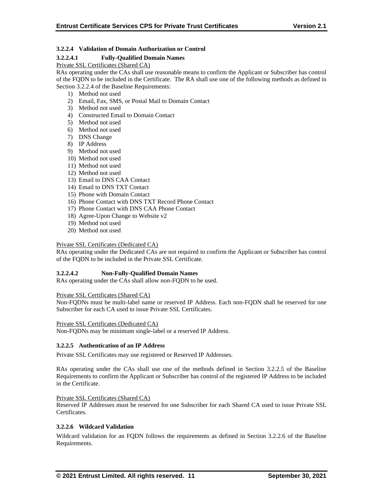## **3.2.2.4 Validation of Domain Authorization or Control**

## **3.2.2.4.1 Fully-Qualified Domain Names**

Private SSL Certificates (Shared CA)

RAs operating under the CAs shall use reasonable means to confirm the Applicant or Subscriber has control of the FQDN to be included in the Certificate. The RA shall use one of the following methods as defined in Section 3.2.2.4 of the Baseline Requirements:

- 1) Method not used
- 2) Email, Fax, SMS, or Postal Mail to Domain Contact
- 3) Method not used
- 4) Constructed Email to Domain Contact
- 5) Method not used
- 6) Method not used
- 7) DNS Change
- 8) IP Address
- 9) Method not used
- 10) Method not used
- 11) Method not used
- 12) Method not used
- 13) Email to DNS CAA Contact
- 14) Email to DNS TXT Contact
- 15) Phone with Domain Contact
- 16) Phone Contact with DNS TXT Record Phone Contact
- 17) Phone Contact with DNS CAA Phone Contact
- 18) Agree-Upon Change to Website v2
- 19) Method not used
- 20) Method not used

#### Private SSL Certificates (Dedicated CA)

RAs operating under the Dedicated CAs are not required to confirm the Applicant or Subscriber has control of the FQDN to be included in the Private SSL Certificate.

#### **3.2.2.4.2 Non-Fully-Qualified Domain Names**

RAs operating under the CAs shall allow non-FQDN to be used.

Private SSL Certificates (Shared CA)

Non-FQDNs must be multi-label name or reserved IP Address. Each non-FQDN shall be reserved for one Subscriber for each CA used to issue Private SSL Certificates.

Private SSL Certificates (Dedicated CA)

Non-FQDNs may be minimum single-label or a reserved IP Address.

#### **3.2.2.5 Authentication of an IP Address**

Private SSL Certificates may use registered or Reserved IP Addresses.

RAs operating under the CAs shall use one of the methods defined in Section 3.2.2.5 of the Baseline Requirements to confirm the Applicant or Subscriber has control of the registered IP Address to be included in the Certificate.

#### Private SSL Certificates (Shared CA)

Reserved IP Addresses must be reserved for one Subscriber for each Shared CA used to issue Private SSL Certificates.

#### **3.2.2.6 Wildcard Validation**

Wildcard validation for an FQDN follows the requirements as defined in Section 3.2.2.6 of the Baseline Requirements.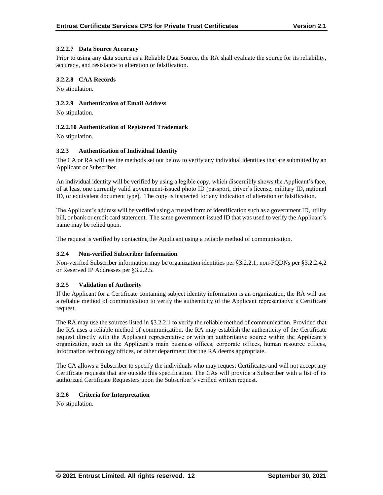#### **3.2.2.7 Data Source Accuracy**

Prior to using any data source as a Reliable Data Source, the RA shall evaluate the source for its reliability, accuracy, and resistance to alteration or falsification.

#### **3.2.2.8 CAA Records**

No stipulation.

## **3.2.2.9 Authentication of Email Address**

No stipulation.

#### **3.2.2.10 Authentication of Registered Trademark**

No stipulation.

#### **3.2.3 Authentication of Individual Identity**

The CA or RA will use the methods set out below to verify any individual identities that are submitted by an Applicant or Subscriber.

An individual identity will be verified by using a legible copy, which discernibly shows the Applicant's face, of at least one currently valid government-issued photo ID (passport, driver's license, military ID, national ID, or equivalent document type). The copy is inspected for any indication of alteration or falsification.

The Applicant's address will be verified using a trusted form of identification such as a government ID, utility bill, or bank or credit card statement. The same government-issued ID that was used to verify the Applicant's name may be relied upon.

The request is verified by contacting the Applicant using a reliable method of communication.

#### **3.2.4 Non-verified Subscriber Information**

Non-verified Subscriber information may be organization identities per §3.2.2.1, non-FQDNs per §3.2.2.4.2 or Reserved IP Addresses per §3.2.2.5.

#### **3.2.5 Validation of Authority**

If the Applicant for a Certificate containing subject identity information is an organization, the RA will use a reliable method of communication to verify the authenticity of the Applicant representative's Certificate request.

The RA may use the sources listed in §3.2.2.1 to verify the reliable method of communication. Provided that the RA uses a reliable method of communication, the RA may establish the authenticity of the Certificate request directly with the Applicant representative or with an authoritative source within the Applicant's organization, such as the Applicant's main business offices, corporate offices, human resource offices, information technology offices, or other department that the RA deems appropriate.

The CA allows a Subscriber to specify the individuals who may request Certificates and will not accept any Certificate requests that are outside this specification. The CAs will provide a Subscriber with a list of its authorized Certificate Requesters upon the Subscriber's verified written request.

#### **3.2.6 Criteria for Interpretation**

No stipulation.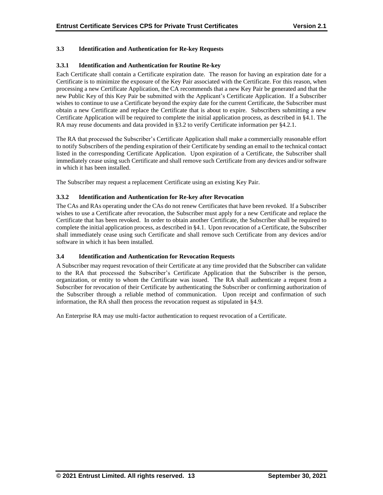## **3.3 Identification and Authentication for Re-key Requests**

## **3.3.1 Identification and Authentication for Routine Re-key**

Each Certificate shall contain a Certificate expiration date. The reason for having an expiration date for a Certificate is to minimize the exposure of the Key Pair associated with the Certificate. For this reason, when processing a new Certificate Application, the CA recommends that a new Key Pair be generated and that the new Public Key of this Key Pair be submitted with the Applicant's Certificate Application. If a Subscriber wishes to continue to use a Certificate beyond the expiry date for the current Certificate, the Subscriber must obtain a new Certificate and replace the Certificate that is about to expire. Subscribers submitting a new Certificate Application will be required to complete the initial application process, as described in §4.1. The RA may reuse documents and data provided in §3.2 to verify Certificate information per §4.2.1.

The RA that processed the Subscriber's Certificate Application shall make a commercially reasonable effort to notify Subscribers of the pending expiration of their Certificate by sending an email to the technical contact listed in the corresponding Certificate Application. Upon expiration of a Certificate, the Subscriber shall immediately cease using such Certificate and shall remove such Certificate from any devices and/or software in which it has been installed.

The Subscriber may request a replacement Certificate using an existing Key Pair.

## **3.3.2 Identification and Authentication for Re-key after Revocation**

The CAs and RAs operating under the CAs do not renew Certificates that have been revoked. If a Subscriber wishes to use a Certificate after revocation, the Subscriber must apply for a new Certificate and replace the Certificate that has been revoked. In order to obtain another Certificate, the Subscriber shall be required to complete the initial application process, as described in §4.1. Upon revocation of a Certificate, the Subscriber shall immediately cease using such Certificate and shall remove such Certificate from any devices and/or software in which it has been installed.

## **3.4 Identification and Authentication for Revocation Requests**

A Subscriber may request revocation of their Certificate at any time provided that the Subscriber can validate to the RA that processed the Subscriber's Certificate Application that the Subscriber is the person, organization, or entity to whom the Certificate was issued. The RA shall authenticate a request from a Subscriber for revocation of their Certificate by authenticating the Subscriber or confirming authorization of the Subscriber through a reliable method of communication. Upon receipt and confirmation of such information, the RA shall then process the revocation request as stipulated in §4.9.

An Enterprise RA may use multi-factor authentication to request revocation of a Certificate.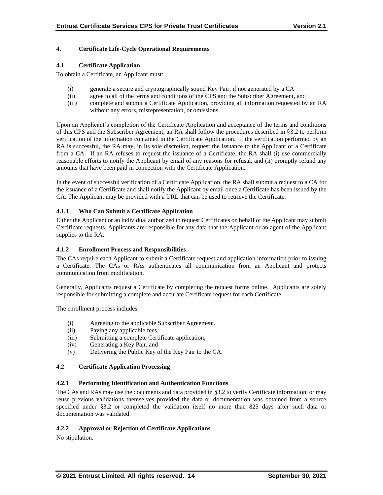## **4. Certificate Life-Cycle Operational Requirements**

## **4.1 Certificate Application**

To obtain a Certificate, an Applicant must:

- (i) generate a secure and cryptographically sound Key Pair, if not generated by a CA
- (ii) agree to all of the terms and conditions of the CPS and the Subscriber Agreement, and
- (iii) complete and submit a Certificate Application, providing all information requested by an RA without any errors, misrepresentation, or omissions.

Upon an Applicant's completion of the Certificate Application and acceptance of the terms and conditions of this CPS and the Subscriber Agreement, an RA shall follow the procedures described in §3.2 to perform verification of the information contained in the Certificate Application. If the verification performed by an RA is successful, the RA may, in its sole discretion, request the issuance to the Applicant of a Certificate from a CA. If an RA refuses to request the issuance of a Certificate, the RA shall (i) use commercially reasonable efforts to notify the Applicant by email of any reasons for refusal, and (ii) promptly refund any amounts that have been paid in connection with the Certificate Application.

In the event of successful verification of a Certificate Application, the RA shall submit a request to a CA for the issuance of a Certificate and shall notify the Applicant by email once a Certificate has been issued by the CA. The Applicant may be provided with a URL that can be used to retrieve the Certificate.

## **4.1.1 Who Can Submit a Certificate Application**

Either the Applicant or an individual authorized to request Certificates on behalf of the Applicant may submit Certificate requests. Applicants are responsible for any data that the Applicant or an agent of the Applicant supplies to the RA.

## **4.1.2 Enrollment Process and Responsibilities**

The CAs require each Applicant to submit a Certificate request and application information prior to issuing a Certificate. The CAs or RAs authenticates all communication from an Applicant and protects communication from modification.

Generally, Applicants request a Certificate by completing the request forms online. Applicants are solely responsible for submitting a complete and accurate Certificate request for each Certificate.

The enrollment process includes:

- (i) Agreeing to the applicable Subscriber Agreement,
- (ii) Paying any applicable fees,
- (iii) Submitting a complete Certificate application,
- (iv) Generating a Key Pair, and
- (v) Delivering the Public Key of the Key Pair to the CA.

## **4.2 Certificate Application Processing**

## **4.2.1 Performing Identification and Authentication Functions**

The CAs and RAs may use the documents and data provided in §3.2 to verify Certificate information, or may reuse previous validations themselves provided the data or documentation was obtained from a source specified under §3.2 or completed the validation itself no more than 825 days after such data or documentation was validated.

## **4.2.2 Approval or Rejection of Certificate Applications**

No stipulation.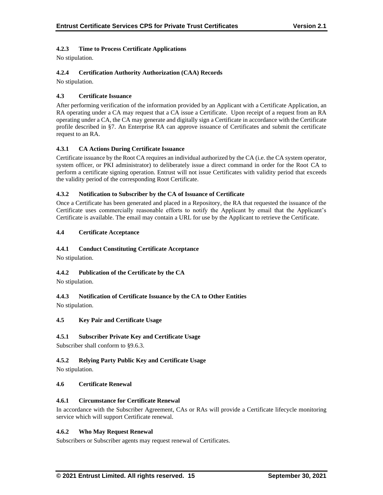## **4.2.3 Time to Process Certificate Applications**

No stipulation.

## **4.2.4 Certification Authority Authorization (CAA) Records**

No stipulation.

## **4.3 Certificate Issuance**

After performing verification of the information provided by an Applicant with a Certificate Application, an RA operating under a CA may request that a CA issue a Certificate. Upon receipt of a request from an RA operating under a CA, the CA may generate and digitally sign a Certificate in accordance with the Certificate profile described in §7. An Enterprise RA can approve issuance of Certificates and submit the certificate request to an RA.

## **4.3.1 CA Actions During Certificate Issuance**

Certificate issuance by the Root CA requires an individual authorized by the CA (i.e. the CA system operator, system officer, or PKI administrator) to deliberately issue a direct command in order for the Root CA to perform a certificate signing operation. Entrust will not issue Certificates with validity period that exceeds the validity period of the corresponding Root Certificate.

## **4.3.2 Notification to Subscriber by the CA of Issuance of Certificate**

Once a Certificate has been generated and placed in a Repository, the RA that requested the issuance of the Certificate uses commercially reasonable efforts to notify the Applicant by email that the Applicant's Certificate is available. The email may contain a URL for use by the Applicant to retrieve the Certificate.

## **4.4 Certificate Acceptance**

## **4.4.1 Conduct Constituting Certificate Acceptance**

No stipulation.

## **4.4.2 Publication of the Certificate by the CA**

No stipulation.

## **4.4.3 Notification of Certificate Issuance by the CA to Other Entities**

No stipulation.

## **4.5 Key Pair and Certificate Usage**

## **4.5.1 Subscriber Private Key and Certificate Usage**

Subscriber shall conform to §9.6.3.

## **4.5.2 Relying Party Public Key and Certificate Usage**

No stipulation.

#### **4.6 Certificate Renewal**

#### **4.6.1 Circumstance for Certificate Renewal**

In accordance with the Subscriber Agreement, CAs or RAs will provide a Certificate lifecycle monitoring service which will support Certificate renewal.

#### **4.6.2 Who May Request Renewal**

Subscribers or Subscriber agents may request renewal of Certificates.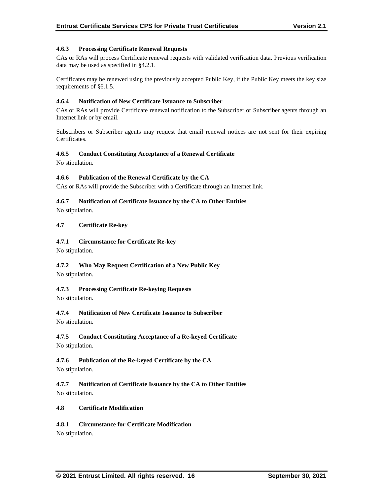## **4.6.3 Processing Certificate Renewal Requests**

CAs or RAs will process Certificate renewal requests with validated verification data. Previous verification data may be used as specified in §4.2.1.

Certificates may be renewed using the previously accepted Public Key, if the Public Key meets the key size requirements of §6.1.5.

#### **4.6.4 Notification of New Certificate Issuance to Subscriber**

CAs or RAs will provide Certificate renewal notification to the Subscriber or Subscriber agents through an Internet link or by email.

Subscribers or Subscriber agents may request that email renewal notices are not sent for their expiring Certificates.

#### **4.6.5 Conduct Constituting Acceptance of a Renewal Certificate**

No stipulation.

## **4.6.6 Publication of the Renewal Certificate by the CA**

CAs or RAs will provide the Subscriber with a Certificate through an Internet link.

## **4.6.7 Notification of Certificate Issuance by the CA to Other Entities**

No stipulation.

## **4.7 Certificate Re-key**

## **4.7.1 Circumstance for Certificate Re-key**

No stipulation.

## **4.7.2 Who May Request Certification of a New Public Key**

No stipulation.

## **4.7.3 Processing Certificate Re-keying Requests**

No stipulation.

## **4.7.4 Notification of New Certificate Issuance to Subscriber**

No stipulation.

## **4.7.5 Conduct Constituting Acceptance of a Re-keyed Certificate**

No stipulation.

## **4.7.6 Publication of the Re-keyed Certificate by the CA**

No stipulation.

**4.7.7 Notification of Certificate Issuance by the CA to Other Entities** No stipulation.

#### **4.8 Certificate Modification**

## **4.8.1 Circumstance for Certificate Modification**

No stipulation.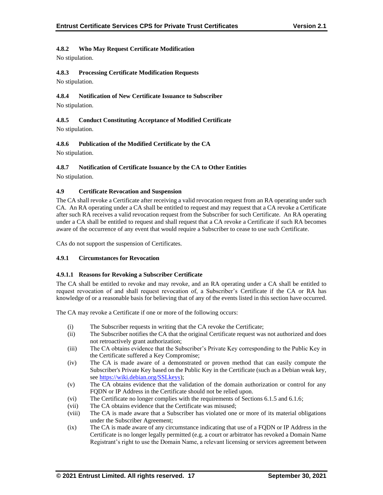## **4.8.2 Who May Request Certificate Modification**

No stipulation.

## **4.8.3 Processing Certificate Modification Requests**

No stipulation.

## **4.8.4 Notification of New Certificate Issuance to Subscriber**

No stipulation.

## **4.8.5 Conduct Constituting Acceptance of Modified Certificate** No stipulation.

## **4.8.6 Publication of the Modified Certificate by the CA**

No stipulation.

## **4.8.7 Notification of Certificate Issuance by the CA to Other Entities**

No stipulation.

## **4.9 Certificate Revocation and Suspension**

The CA shall revoke a Certificate after receiving a valid revocation request from an RA operating under such CA. An RA operating under a CA shall be entitled to request and may request that a CA revoke a Certificate after such RA receives a valid revocation request from the Subscriber for such Certificate. An RA operating under a CA shall be entitled to request and shall request that a CA revoke a Certificate if such RA becomes aware of the occurrence of any event that would require a Subscriber to cease to use such Certificate.

CAs do not support the suspension of Certificates.

## **4.9.1 Circumstances for Revocation**

#### **4.9.1.1 Reasons for Revoking a Subscriber Certificate**

The CA shall be entitled to revoke and may revoke, and an RA operating under a CA shall be entitled to request revocation of and shall request revocation of, a Subscriber's Certificate if the CA or RA has knowledge of or a reasonable basis for believing that of any of the events listed in this section have occurred.

The CA may revoke a Certificate if one or more of the following occurs:

- (i) The Subscriber requests in writing that the CA revoke the Certificate;
- (ii) The Subscriber notifies the CA that the original Certificate request was not authorized and does not retroactively grant authorization;
- (iii) The CA obtains evidence that the Subscriber's Private Key corresponding to the Public Key in the Certificate suffered a Key Compromise;
- (iv) The CA is made aware of a demonstrated or proven method that can easily compute the Subscriber's Private Key based on the Public Key in the Certificate (such as a Debian weak key, see [https://wiki.debian.org/SSLkeys\)](https://wiki.debian.org/SSLkeys);
- (v) The CA obtains evidence that the validation of the domain authorization or control for any FQDN or IP Address in the Certificate should not be relied upon.
- (vi) The Certificate no longer complies with the requirements of Sections 6.1.5 and 6.1.6;
- (vii) The CA obtains evidence that the Certificate was misused;
- (viii) The CA is made aware that a Subscriber has violated one or more of its material obligations under the Subscriber Agreement;
- (ix) The CA is made aware of any circumstance indicating that use of a FQDN or IP Address in the Certificate is no longer legally permitted (e.g. a court or arbitrator has revoked a Domain Name Registrant's right to use the Domain Name, a relevant licensing or services agreement between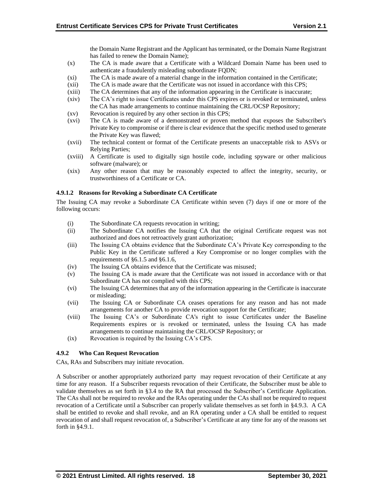the Domain Name Registrant and the Applicant has terminated, or the Domain Name Registrant has failed to renew the Domain Name);

- (x) The CA is made aware that a Certificate with a Wildcard Domain Name has been used to authenticate a fraudulently misleading subordinate FQDN;
- (xi) The CA is made aware of a material change in the information contained in the Certificate;
- (xii) The CA is made aware that the Certificate was not issued in accordance with this CPS;
- (xiii) The CA determines that any of the information appearing in the Certificate is inaccurate;
- (xiv) The CA's right to issue Certificates under this CPS expires or is revoked or terminated, unless the CA has made arrangements to continue maintaining the CRL/OCSP Repository;
- (xv) Revocation is required by any other section in this CPS;
- (xvi) The CA is made aware of a demonstrated or proven method that exposes the Subscriber's Private Key to compromise or if there is clear evidence that the specific method used to generate the Private Key was flawed;
- (xvii) The technical content or format of the Certificate presents an unacceptable risk to ASVs or Relying Parties;
- (xviii) A Certificate is used to digitally sign hostile code, including spyware or other malicious software (malware); or
- (xix) Any other reason that may be reasonably expected to affect the integrity, security, or trustworthiness of a Certificate or CA.

## **4.9.1.2 Reasons for Revoking a Subordinate CA Certificate**

The Issuing CA may revoke a Subordinate CA Certificate within seven (7) days if one or more of the following occurs:

- (i) The Subordinate CA requests revocation in writing;
- (ii) The Subordinate CA notifies the Issuing CA that the original Certificate request was not authorized and does not retroactively grant authorization;
- (iii) The Issuing CA obtains evidence that the Subordinate CA's Private Key corresponding to the Public Key in the Certificate suffered a Key Compromise or no longer complies with the requirements of §6.1.5 and §6.1.6,
- (iv) The Issuing CA obtains evidence that the Certificate was misused;
- (v) The Issuing CA is made aware that the Certificate was not issued in accordance with or that Subordinate CA has not complied with this CPS;
- (vi) The Issuing CA determines that any of the information appearing in the Certificate is inaccurate or misleading;
- (vii) The Issuing CA or Subordinate CA ceases operations for any reason and has not made arrangements for another CA to provide revocation support for the Certificate;
- (viii) The Issuing CA's or Subordinate CA's right to issue Certificates under the Baseline Requirements expires or is revoked or terminated, unless the Issuing CA has made arrangements to continue maintaining the CRL/OCSP Repository; or
- (ix) Revocation is required by the Issuing CA's CPS.

## **4.9.2 Who Can Request Revocation**

CAs, RAs and Subscribers may initiate revocation.

A Subscriber or another appropriately authorized party may request revocation of their Certificate at any time for any reason. If a Subscriber requests revocation of their Certificate, the Subscriber must be able to validate themselves as set forth in §3.4 to the RA that processed the Subscriber's Certificate Application. The CAs shall not be required to revoke and the RAs operating under the CAs shall not be required to request revocation of a Certificate until a Subscriber can properly validate themselves as set forth in §4.9.3. A CA shall be entitled to revoke and shall revoke, and an RA operating under a CA shall be entitled to request revocation of and shall request revocation of, a Subscriber's Certificate at any time for any of the reasons set forth in §4.9.1.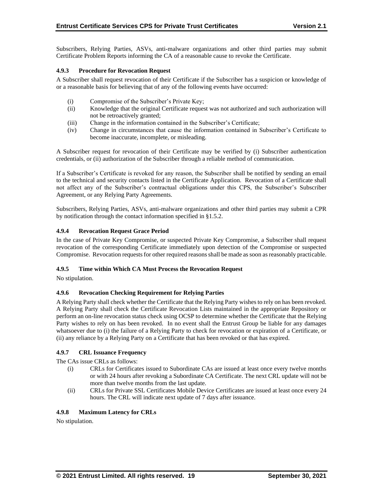Subscribers, Relying Parties, ASVs, anti-malware organizations and other third parties may submit Certificate Problem Reports informing the CA of a reasonable cause to revoke the Certificate.

## **4.9.3 Procedure for Revocation Request**

A Subscriber shall request revocation of their Certificate if the Subscriber has a suspicion or knowledge of or a reasonable basis for believing that of any of the following events have occurred:

- (i) Compromise of the Subscriber's Private Key;
- (ii) Knowledge that the original Certificate request was not authorized and such authorization will not be retroactively granted;
- (iii) Change in the information contained in the Subscriber's Certificate;
- (iv) Change in circumstances that cause the information contained in Subscriber's Certificate to become inaccurate, incomplete, or misleading.

A Subscriber request for revocation of their Certificate may be verified by (i) Subscriber authentication credentials, or (ii) authorization of the Subscriber through a reliable method of communication.

If a Subscriber's Certificate is revoked for any reason, the Subscriber shall be notified by sending an email to the technical and security contacts listed in the Certificate Application. Revocation of a Certificate shall not affect any of the Subscriber's contractual obligations under this CPS, the Subscriber's Subscriber Agreement, or any Relying Party Agreements.

Subscribers, Relying Parties, ASVs, anti-malware organizations and other third parties may submit a CPR by notification through the contact information specified in §1.5.2.

## **4.9.4 Revocation Request Grace Period**

In the case of Private Key Compromise, or suspected Private Key Compromise, a Subscriber shall request revocation of the corresponding Certificate immediately upon detection of the Compromise or suspected Compromise. Revocation requests for other required reasons shall be made as soon as reasonably practicable.

#### **4.9.5 Time within Which CA Must Process the Revocation Request**

No stipulation.

#### **4.9.6 Revocation Checking Requirement for Relying Parties**

A Relying Party shall check whether the Certificate that the Relying Party wishes to rely on has been revoked. A Relying Party shall check the Certificate Revocation Lists maintained in the appropriate Repository or perform an on-line revocation status check using OCSP to determine whether the Certificate that the Relying Party wishes to rely on has been revoked. In no event shall the Entrust Group be liable for any damages whatsoever due to (i) the failure of a Relying Party to check for revocation or expiration of a Certificate, or (ii) any reliance by a Relying Party on a Certificate that has been revoked or that has expired.

#### **4.9.7 CRL Issuance Frequency**

The CAs issue CRLs as follows:

- (i) CRLs for Certificates issued to Subordinate CAs are issued at least once every twelve months or with 24 hours after revoking a Subordinate CA Certificate. The next CRL update will not be more than twelve months from the last update.
- (ii) CRLs for Private SSL Certificates Mobile Device Certificates are issued at least once every 24 hours. The CRL will indicate next update of 7 days after issuance.

## **4.9.8 Maximum Latency for CRLs**

No stipulation.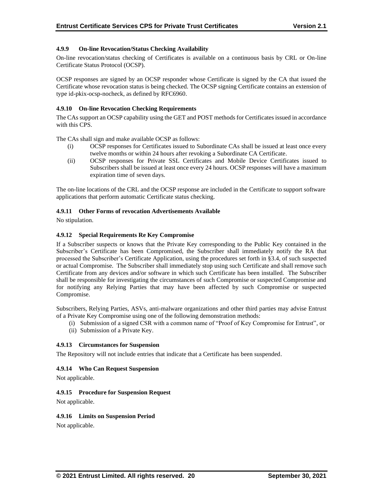#### **4.9.9 On-line Revocation/Status Checking Availability**

On-line revocation/status checking of Certificates is available on a continuous basis by CRL or On-line Certificate Status Protocol (OCSP).

OCSP responses are signed by an OCSP responder whose Certificate is signed by the CA that issued the Certificate whose revocation status is being checked. The OCSP signing Certificate contains an extension of type id-pkix-ocsp-nocheck, as defined by RFC6960.

#### **4.9.10 On-line Revocation Checking Requirements**

The CAs support an OCSP capability using the GET and POST methods for Certificates issued in accordance with this CPS.

The CAs shall sign and make available OCSP as follows:

- (i) OCSP responses for Certificates issued to Subordinate CAs shall be issued at least once every twelve months or within 24 hours after revoking a Subordinate CA Certificate.
- (ii) OCSP responses for Private SSL Certificates and Mobile Device Certificates issued to Subscribers shall be issued at least once every 24 hours. OCSP responses will have a maximum expiration time of seven days.

The on-line locations of the CRL and the OCSP response are included in the Certificate to support software applications that perform automatic Certificate status checking.

#### **4.9.11 Other Forms of revocation Advertisements Available**

No stipulation.

#### **4.9.12 Special Requirements Re Key Compromise**

If a Subscriber suspects or knows that the Private Key corresponding to the Public Key contained in the Subscriber's Certificate has been Compromised, the Subscriber shall immediately notify the RA that processed the Subscriber's Certificate Application, using the procedures set forth in §3.4, of such suspected or actual Compromise. The Subscriber shall immediately stop using such Certificate and shall remove such Certificate from any devices and/or software in which such Certificate has been installed. The Subscriber shall be responsible for investigating the circumstances of such Compromise or suspected Compromise and for notifying any Relying Parties that may have been affected by such Compromise or suspected Compromise.

Subscribers, Relying Parties, ASVs, anti-malware organizations and other third parties may advise Entrust of a Private Key Compromise using one of the following demonstration methods:

(i) Submission of a signed CSR with a common name of "Proof of Key Compromise for Entrust", or (ii) Submission of a Private Key.

#### **4.9.13 Circumstances for Suspension**

The Repository will not include entries that indicate that a Certificate has been suspended.

#### **4.9.14 Who Can Request Suspension**

Not applicable.

#### **4.9.15 Procedure for Suspension Request**

Not applicable.

#### **4.9.16 Limits on Suspension Period**

Not applicable.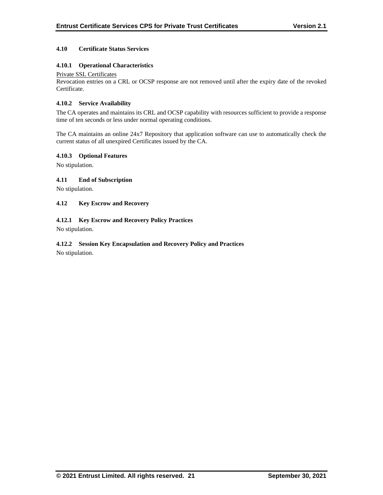## **4.10 Certificate Status Services**

## **4.10.1 Operational Characteristics**

#### Private SSL Certificates

Revocation entries on a CRL or OCSP response are not removed until after the expiry date of the revoked Certificate.

#### **4.10.2 Service Availability**

The CA operates and maintains its CRL and OCSP capability with resources sufficient to provide a response time of ten seconds or less under normal operating conditions.

The CA maintains an online 24x7 Repository that application software can use to automatically check the current status of all unexpired Certificates issued by the CA.

#### **4.10.3 Optional Features**

No stipulation.

## **4.11 End of Subscription**

No stipulation.

## **4.12 Key Escrow and Recovery**

## **4.12.1 Key Escrow and Recovery Policy Practices**

No stipulation.

## **4.12.2 Session Key Encapsulation and Recovery Policy and Practices**

No stipulation.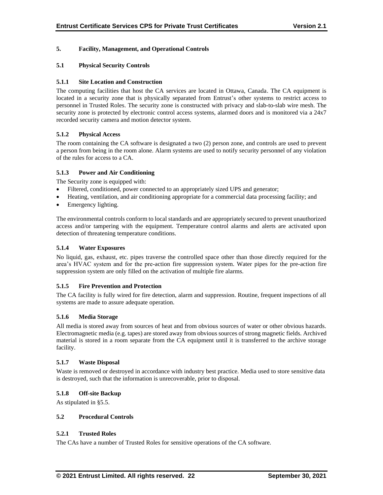## **5. Facility, Management, and Operational Controls**

## **5.1 Physical Security Controls**

#### **5.1.1 Site Location and Construction**

The computing facilities that host the CA services are located in Ottawa, Canada. The CA equipment is located in a security zone that is physically separated from Entrust's other systems to restrict access to personnel in Trusted Roles. The security zone is constructed with privacy and slab-to-slab wire mesh. The security zone is protected by electronic control access systems, alarmed doors and is monitored via a 24x7 recorded security camera and motion detector system.

## **5.1.2 Physical Access**

The room containing the CA software is designated a two (2) person zone, and controls are used to prevent a person from being in the room alone. Alarm systems are used to notify security personnel of any violation of the rules for access to a CA.

## **5.1.3 Power and Air Conditioning**

The Security zone is equipped with:

- Filtered, conditioned, power connected to an appropriately sized UPS and generator;
- Heating, ventilation, and air conditioning appropriate for a commercial data processing facility; and
- Emergency lighting.

The environmental controls conform to local standards and are appropriately secured to prevent unauthorized access and/or tampering with the equipment. Temperature control alarms and alerts are activated upon detection of threatening temperature conditions.

#### **5.1.4 Water Exposures**

No liquid, gas, exhaust, etc. pipes traverse the controlled space other than those directly required for the area's HVAC system and for the pre-action fire suppression system. Water pipes for the pre-action fire suppression system are only filled on the activation of multiple fire alarms.

#### **5.1.5 Fire Prevention and Protection**

The CA facility is fully wired for fire detection, alarm and suppression. Routine, frequent inspections of all systems are made to assure adequate operation.

#### **5.1.6 Media Storage**

All media is stored away from sources of heat and from obvious sources of water or other obvious hazards. Electromagnetic media (e.g. tapes) are stored away from obvious sources of strong magnetic fields. Archived material is stored in a room separate from the CA equipment until it is transferred to the archive storage facility.

#### **5.1.7 Waste Disposal**

Waste is removed or destroyed in accordance with industry best practice. Media used to store sensitive data is destroyed, such that the information is unrecoverable, prior to disposal.

#### **5.1.8 Off-site Backup**

As stipulated in §5.5.

#### **5.2 Procedural Controls**

#### **5.2.1 Trusted Roles**

The CAs have a number of Trusted Roles for sensitive operations of the CA software.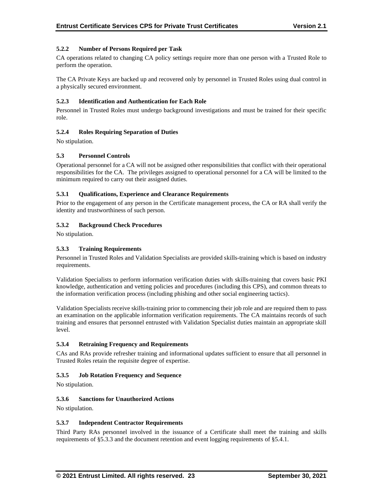## **5.2.2 Number of Persons Required per Task**

CA operations related to changing CA policy settings require more than one person with a Trusted Role to perform the operation.

The CA Private Keys are backed up and recovered only by personnel in Trusted Roles using dual control in a physically secured environment.

#### **5.2.3 Identification and Authentication for Each Role**

Personnel in Trusted Roles must undergo background investigations and must be trained for their specific role.

## **5.2.4 Roles Requiring Separation of Duties**

No stipulation.

## **5.3 Personnel Controls**

Operational personnel for a CA will not be assigned other responsibilities that conflict with their operational responsibilities for the CA. The privileges assigned to operational personnel for a CA will be limited to the minimum required to carry out their assigned duties.

## **5.3.1 Qualifications, Experience and Clearance Requirements**

Prior to the engagement of any person in the Certificate management process, the CA or RA shall verify the identity and trustworthiness of such person.

## **5.3.2 Background Check Procedures**

No stipulation.

#### **5.3.3 Training Requirements**

Personnel in Trusted Roles and Validation Specialists are provided skills-training which is based on industry requirements.

Validation Specialists to perform information verification duties with skills-training that covers basic PKI knowledge, authentication and vetting policies and procedures (including this CPS), and common threats to the information verification process (including phishing and other social engineering tactics).

Validation Specialists receive skills-training prior to commencing their job role and are required them to pass an examination on the applicable information verification requirements. The CA maintains records of such training and ensures that personnel entrusted with Validation Specialist duties maintain an appropriate skill level.

#### **5.3.4 Retraining Frequency and Requirements**

CAs and RAs provide refresher training and informational updates sufficient to ensure that all personnel in Trusted Roles retain the requisite degree of expertise.

#### **5.3.5 Job Rotation Frequency and Sequence**

No stipulation.

#### **5.3.6 Sanctions for Unauthorized Actions**

No stipulation.

#### **5.3.7 Independent Contractor Requirements**

Third Party RAs personnel involved in the issuance of a Certificate shall meet the training and skills requirements of §5.3.3 and the document retention and event logging requirements of §5.4.1.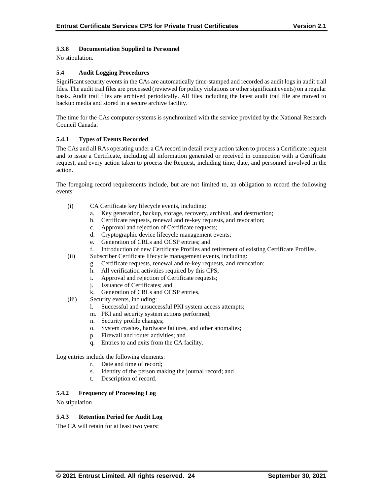## **5.3.8 Documentation Supplied to Personnel**

No stipulation.

## **5.4 Audit Logging Procedures**

Significant security events in the CAs are automatically time-stamped and recorded as audit logs in audit trail files. The audit trail files are processed (reviewed for policy violations or other significant events) on a regular basis. Audit trail files are archived periodically. All files including the latest audit trail file are moved to backup media and stored in a secure archive facility.

The time for the CAs computer systems is synchronized with the service provided by the National Research Council Canada.

## **5.4.1 Types of Events Recorded**

The CAs and all RAs operating under a CA record in detail every action taken to process a Certificate request and to issue a Certificate, including all information generated or received in connection with a Certificate request, and every action taken to process the Request, including time, date, and personnel involved in the action.

The foregoing record requirements include, but are not limited to, an obligation to record the following events:

- (i) CA Certificate key lifecycle events, including:
	- a. Key generation, backup, storage, recovery, archival, and destruction;
	- b. Certificate requests, renewal and re-key requests, and revocation;
	- c. Approval and rejection of Certificate requests;
	- d. Cryptographic device lifecycle management events;
	- e. Generation of CRLs and OCSP entries; and
	- f. Introduction of new Certificate Profiles and retirement of existing Certificate Profiles.
- (ii) Subscriber Certificate lifecycle management events, including:
	- g. Certificate requests, renewal and re-key requests, and revocation;
	- h. All verification activities required by this CPS;
	- i. Approval and rejection of Certificate requests;
	- j. Issuance of Certificates; and
	- k. Generation of CRLs and OCSP entries.
- (iii) Security events, including:
	- l. Successful and unsuccessful PKI system access attempts;
	- m. PKI and security system actions performed;
	- n. Security profile changes;
	- o. System crashes, hardware failures, and other anomalies;
	- p. Firewall and router activities; and
	- q. Entries to and exits from the CA facility.

Log entries include the following elements:

- r. Date and time of record;
- s. Identity of the person making the journal record; and
- t. Description of record.

#### **5.4.2 Frequency of Processing Log**

No stipulation

#### **5.4.3 Retention Period for Audit Log**

The CA will retain for at least two years: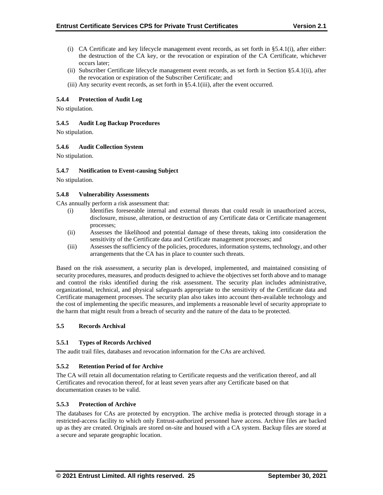- (i) CA Certificate and key lifecycle management event records, as set forth in §5.4.1(i), after either: the destruction of the CA key, or the revocation or expiration of the CA Certificate, whichever occurs later;
- (ii) Subscriber Certificate lifecycle management event records, as set forth in Section §5.4.1(ii), after the revocation or expiration of the Subscriber Certificate; and
- (iii) Any security event records, as set forth in §5.4.1(iii), after the event occurred.

## **5.4.4 Protection of Audit Log**

No stipulation.

## **5.4.5 Audit Log Backup Procedures**

No stipulation.

## **5.4.6 Audit Collection System**

No stipulation.

#### **5.4.7 Notification to Event-causing Subject**

No stipulation.

## **5.4.8 Vulnerability Assessments**

CAs annually perform a risk assessment that:

- (i) Identifies foreseeable internal and external threats that could result in unauthorized access, disclosure, misuse, alteration, or destruction of any Certificate data or Certificate management processes;
- (ii) Assesses the likelihood and potential damage of these threats, taking into consideration the sensitivity of the Certificate data and Certificate management processes; and
- (iii) Assesses the sufficiency of the policies, procedures, information systems, technology, and other arrangements that the CA has in place to counter such threats.

Based on the risk assessment, a security plan is developed, implemented, and maintained consisting of security procedures, measures, and products designed to achieve the objectives set forth above and to manage and control the risks identified during the risk assessment. The security plan includes administrative, organizational, technical, and physical safeguards appropriate to the sensitivity of the Certificate data and Certificate management processes. The security plan also takes into account then-available technology and the cost of implementing the specific measures, and implements a reasonable level of security appropriate to the harm that might result from a breach of security and the nature of the data to be protected.

#### **5.5 Records Archival**

#### **5.5.1 Types of Records Archived**

The audit trail files, databases and revocation information for the CAs are archived.

#### **5.5.2 Retention Period of for Archive**

The CA will retain all documentation relating to Certificate requests and the verification thereof, and all Certificates and revocation thereof, for at least seven years after any Certificate based on that documentation ceases to be valid.

#### **5.5.3 Protection of Archive**

The databases for CAs are protected by encryption. The archive media is protected through storage in a restricted-access facility to which only Entrust-authorized personnel have access. Archive files are backed up as they are created. Originals are stored on-site and housed with a CA system. Backup files are stored at a secure and separate geographic location.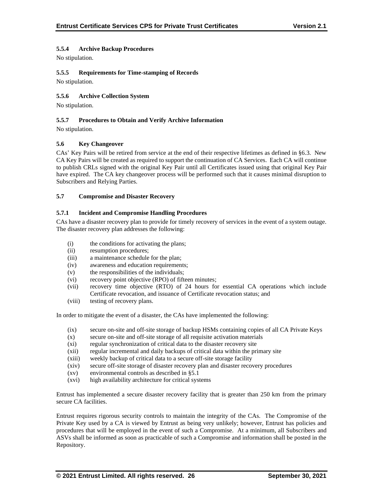## **5.5.4 Archive Backup Procedures**

No stipulation.

## **5.5.5 Requirements for Time-stamping of Records**

No stipulation.

## **5.5.6 Archive Collection System**

No stipulation.

## **5.5.7 Procedures to Obtain and Verify Archive Information**

No stipulation.

## **5.6 Key Changeover**

CAs' Key Pairs will be retired from service at the end of their respective lifetimes as defined in §6.3. New CA Key Pairs will be created as required to support the continuation of CA Services. Each CA will continue to publish CRLs signed with the original Key Pair until all Certificates issued using that original Key Pair have expired. The CA key changeover process will be performed such that it causes minimal disruption to Subscribers and Relying Parties.

## **5.7 Compromise and Disaster Recovery**

#### **5.7.1 Incident and Compromise Handling Procedures**

CAs have a disaster recovery plan to provide for timely recovery of services in the event of a system outage. The disaster recovery plan addresses the following:

- (i) the conditions for activating the plans;
- (ii) resumption procedures;
- (iii) a maintenance schedule for the plan;
- (iv) awareness and education requirements;
- (v) the responsibilities of the individuals;
- (vi) recovery point objective (RPO) of fifteen minutes;
- (vii) recovery time objective (RTO) of 24 hours for essential CA operations which include Certificate revocation, and issuance of Certificate revocation status; and
- (viii) testing of recovery plans.

In order to mitigate the event of a disaster, the CAs have implemented the following:

- (ix) secure on-site and off-site storage of backup HSMs containing copies of all CA Private Keys
- (x) secure on-site and off-site storage of all requisite activation materials
- (xi) regular synchronization of critical data to the disaster recovery site
- (xii) regular incremental and daily backups of critical data within the primary site
- (xiii) weekly backup of critical data to a secure off-site storage facility
- (xiv) secure off-site storage of disaster recovery plan and disaster recovery procedures
- (xv) environmental controls as described in §5.1
- (xvi) high availability architecture for critical systems

Entrust has implemented a secure disaster recovery facility that is greater than 250 km from the primary secure CA facilities.

Entrust requires rigorous security controls to maintain the integrity of the CAs. The Compromise of the Private Key used by a CA is viewed by Entrust as being very unlikely; however, Entrust has policies and procedures that will be employed in the event of such a Compromise. At a minimum, all Subscribers and ASVs shall be informed as soon as practicable of such a Compromise and information shall be posted in the Repository.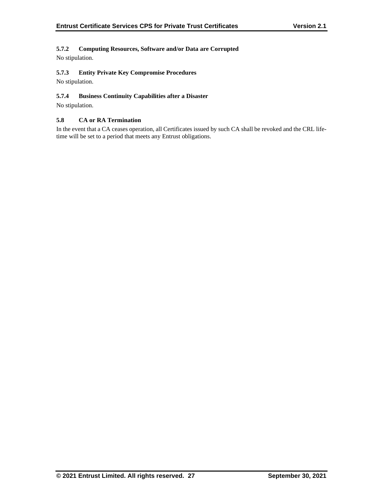## **5.7.2 Computing Resources, Software and/or Data are Corrupted**

No stipulation.

## **5.7.3 Entity Private Key Compromise Procedures**

No stipulation.

## **5.7.4 Business Continuity Capabilities after a Disaster**

No stipulation.

## **5.8 CA or RA Termination**

In the event that a CA ceases operation, all Certificates issued by such CA shall be revoked and the CRL lifetime will be set to a period that meets any Entrust obligations.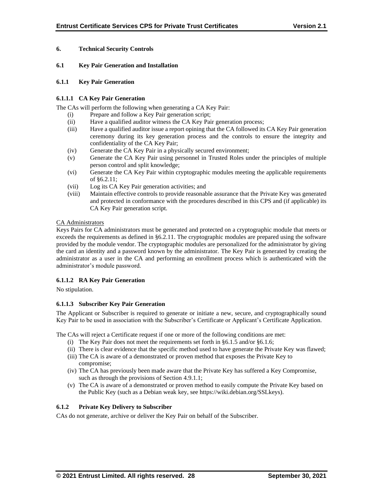## **6. Technical Security Controls**

#### **6.1 Key Pair Generation and Installation**

#### **6.1.1 Key Pair Generation**

## **6.1.1.1 CA Key Pair Generation**

The CAs will perform the following when generating a CA Key Pair:

- (i) Prepare and follow a Key Pair generation script;
- (ii) Have a qualified auditor witness the CA Key Pair generation process;
- (iii) Have a qualified auditor issue a report opining that the CA followed its CA Key Pair generation ceremony during its key generation process and the controls to ensure the integrity and confidentiality of the CA Key Pair;
- (iv) Generate the CA Key Pair in a physically secured environment;
- (v) Generate the CA Key Pair using personnel in Trusted Roles under the principles of multiple person control and split knowledge;
- (vi) Generate the CA Key Pair within cryptographic modules meeting the applicable requirements of §6.2.11;
- (vii) Log its CA Key Pair generation activities; and
- (viii) Maintain effective controls to provide reasonable assurance that the Private Key was generated and protected in conformance with the procedures described in this CPS and (if applicable) its CA Key Pair generation script.

## CA Administrators

Keys Pairs for CA administrators must be generated and protected on a cryptographic module that meets or exceeds the requirements as defined in §6.2.11. The cryptographic modules are prepared using the software provided by the module vendor. The cryptographic modules are personalized for the administrator by giving the card an identity and a password known by the administrator. The Key Pair is generated by creating the administrator as a user in the CA and performing an enrollment process which is authenticated with the administrator's module password.

## **6.1.1.2 RA Key Pair Generation**

No stipulation.

## **6.1.1.3 Subscriber Key Pair Generation**

The Applicant or Subscriber is required to generate or initiate a new, secure, and cryptographically sound Key Pair to be used in association with the Subscriber's Certificate or Applicant's Certificate Application.

The CAs will reject a Certificate request if one or more of the following conditions are met:

- (i) The Key Pair does not meet the requirements set forth in §6.1.5 and/or §6.1.6;
- (ii) There is clear evidence that the specific method used to have generate the Private Key was flawed;
- (iii) The CA is aware of a demonstrated or proven method that exposes the Private Key to compromise;
- (iv) The CA has previously been made aware that the Private Key has suffered a Key Compromise, such as through the provisions of Section 4.9.1.1;
- (v) The CA is aware of a demonstrated or proven method to easily compute the Private Key based on the Public Key (such as a Debian weak key, see https://wiki.debian.org/SSLkeys).

## **6.1.2 Private Key Delivery to Subscriber**

CAs do not generate, archive or deliver the Key Pair on behalf of the Subscriber.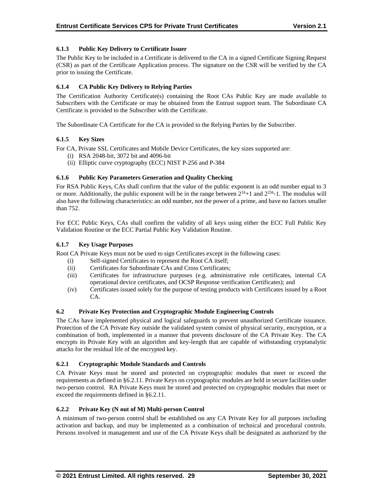## **6.1.3 Public Key Delivery to Certificate Issuer**

The Public Key to be included in a Certificate is delivered to the CA in a signed Certificate Signing Request (CSR) as part of the Certificate Application process. The signature on the CSR will be verified by the CA prior to issuing the Certificate.

## **6.1.4 CA Public Key Delivery to Relying Parties**

The Certification Authority Certificate(s) containing the Root CAs Public Key are made available to Subscribers with the Certificate or may be obtained from the Entrust support team. The Subordinate CA Certificate is provided to the Subscriber with the Certificate.

The Subordinate CA Certificate for the CA is provided to the Relying Parties by the Subscriber.

## **6.1.5 Key Sizes**

For CA, Private SSL Certificates and Mobile Device Certificates, the key sizes supported are:

- (i) RSA 2048-bit, 3072 bit and 4096-bit
- (ii) Elliptic curve cryptography (ECC) NIST P-256 and P-384

## **6.1.6 Public Key Parameters Generation and Quality Checking**

For RSA Public Keys, CAs shall confirm that the value of the public exponent is an odd number equal to 3 or more. Additionally, the public exponent will be in the range between  $2^{16}+1$  and  $2^{256}$ -1. The modulus will also have the following characteristics: an odd number, not the power of a prime, and have no factors smaller than 752.

For ECC Public Keys, CAs shall confirm the validity of all keys using either the ECC Full Public Key Validation Routine or the ECC Partial Public Key Validation Routine.

#### **6.1.7 Key Usage Purposes**

Root CA Private Keys must not be used to sign Certificates except in the following cases:

- (i) Self-signed Certificates to represent the Root CA itself;
- (ii) Certificates for Subordinate CAs and Cross Certificates;
- (iii) Certificates for infrastructure purposes (e.g. administrative role certificates, internal CA operational device certificates, and OCSP Response verification Certificates); and
- (iv) Certificates issued solely for the purpose of testing products with Certificates issued by a Root CA.

#### **6.2 Private Key Protection and Cryptographic Module Engineering Controls**

The CAs have implemented physical and logical safeguards to prevent unauthorized Certificate issuance. Protection of the CA Private Key outside the validated system consist of physical security, encryption, or a combination of both, implemented in a manner that prevents disclosure of the CA Private Key. The CA encrypts its Private Key with an algorithm and key-length that are capable of withstanding cryptanalytic attacks for the residual life of the encrypted key.

#### **6.2.1 Cryptographic Module Standards and Controls**

CA Private Keys must be stored and protected on cryptographic modules that meet or exceed the requirements as defined in §6.2.11. Private Keys on cryptographic modules are held in secure facilities under two-person control. RA Private Keys must be stored and protected on cryptographic modules that meet or exceed the requirements defined in §6.2.11.

#### **6.2.2 Private Key (N out of M) Multi-person Control**

A minimum of two-person control shall be established on any CA Private Key for all purposes including activation and backup, and may be implemented as a combination of technical and procedural controls. Persons involved in management and use of the CA Private Keys shall be designated as authorized by the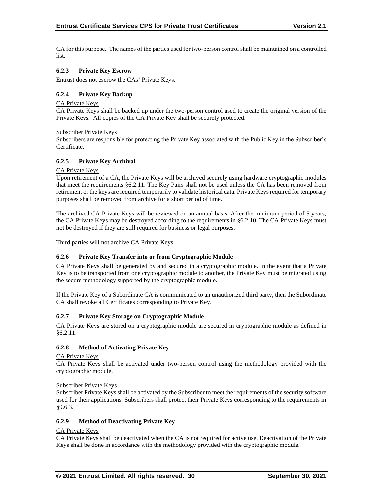CA for this purpose. The names of the parties used for two-person control shall be maintained on a controlled list.

## **6.2.3 Private Key Escrow**

Entrust does not escrow the CAs' Private Keys.

## **6.2.4 Private Key Backup**

#### CA Private Keys

CA Private Keys shall be backed up under the two-person control used to create the original version of the Private Keys. All copies of the CA Private Key shall be securely protected.

#### Subscriber Private Keys

Subscribers are responsible for protecting the Private Key associated with the Public Key in the Subscriber's Certificate.

#### **6.2.5 Private Key Archival**

#### CA Private Keys

Upon retirement of a CA, the Private Keys will be archived securely using hardware cryptographic modules that meet the requirements §6.2.11. The Key Pairs shall not be used unless the CA has been removed from retirement or the keys are required temporarily to validate historical data. Private Keys required for temporary purposes shall be removed from archive for a short period of time.

The archived CA Private Keys will be reviewed on an annual basis. After the minimum period of 5 years, the CA Private Keys may be destroyed according to the requirements in §6.2.10. The CA Private Keys must not be destroyed if they are still required for business or legal purposes.

Third parties will not archive CA Private Keys.

#### **6.2.6 Private Key Transfer into or from Cryptographic Module**

CA Private Keys shall be generated by and secured in a cryptographic module. In the event that a Private Key is to be transported from one cryptographic module to another, the Private Key must be migrated using the secure methodology supported by the cryptographic module.

If the Private Key of a Subordinate CA is communicated to an unauthorized third party, then the Subordinate CA shall revoke all Certificates corresponding to Private Key.

#### **6.2.7 Private Key Storage on Cryptographic Module**

CA Private Keys are stored on a cryptographic module are secured in cryptographic module as defined in §6.2.11.

#### **6.2.8 Method of Activating Private Key**

#### CA Private Keys

CA Private Keys shall be activated under two-person control using the methodology provided with the cryptographic module.

#### Subscriber Private Keys

Subscriber Private Keys shall be activated by the Subscriber to meet the requirements of the security software used for their applications. Subscribers shall protect their Private Keys corresponding to the requirements in §9.6.3.

#### **6.2.9 Method of Deactivating Private Key**

## CA Private Keys

CA Private Keys shall be deactivated when the CA is not required for active use. Deactivation of the Private Keys shall be done in accordance with the methodology provided with the cryptographic module.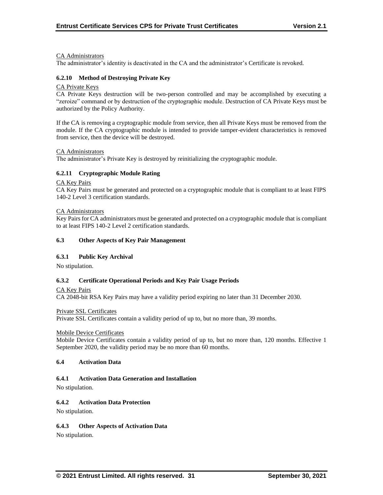#### CA Administrators

The administrator's identity is deactivated in the CA and the administrator's Certificate is revoked.

#### **6.2.10 Method of Destroying Private Key**

#### CA Private Keys

CA Private Keys destruction will be two-person controlled and may be accomplished by executing a "zeroize" command or by destruction of the cryptographic module. Destruction of CA Private Keys must be authorized by the Policy Authority.

If the CA is removing a cryptographic module from service, then all Private Keys must be removed from the module. If the CA cryptographic module is intended to provide tamper-evident characteristics is removed from service, then the device will be destroyed.

#### CA Administrators

The administrator's Private Key is destroyed by reinitializing the cryptographic module.

#### **6.2.11 Cryptographic Module Rating**

#### CA Key Pairs

CA Key Pairs must be generated and protected on a cryptographic module that is compliant to at least FIPS 140-2 Level 3 certification standards.

#### CA Administrators

Key Pairs for CA administrators must be generated and protected on a cryptographic module that is compliant to at least FIPS 140-2 Level 2 certification standards.

#### **6.3 Other Aspects of Key Pair Management**

#### **6.3.1 Public Key Archival**

No stipulation.

#### **6.3.2 Certificate Operational Periods and Key Pair Usage Periods**

CA Key Pairs

CA 2048-bit RSA Key Pairs may have a validity period expiring no later than 31 December 2030.

Private SSL Certificates

Private SSL Certificates contain a validity period of up to, but no more than, 39 months.

#### Mobile Device Certificates

Mobile Device Certificates contain a validity period of up to, but no more than, 120 months. Effective 1 September 2020, the validity period may be no more than 60 months.

#### **6.4 Activation Data**

## **6.4.1 Activation Data Generation and Installation**

No stipulation.

#### **6.4.2 Activation Data Protection**

No stipulation.

#### **6.4.3 Other Aspects of Activation Data**

No stipulation.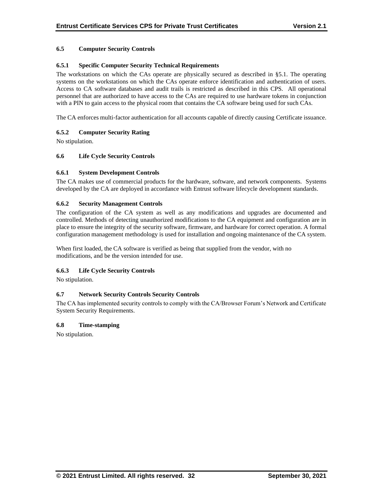## **6.5 Computer Security Controls**

## **6.5.1 Specific Computer Security Technical Requirements**

The workstations on which the CAs operate are physically secured as described in §5.1. The operating systems on the workstations on which the CAs operate enforce identification and authentication of users. Access to CA software databases and audit trails is restricted as described in this CPS. All operational personnel that are authorized to have access to the CAs are required to use hardware tokens in conjunction with a PIN to gain access to the physical room that contains the CA software being used for such CAs.

The CA enforces multi-factor authentication for all accounts capable of directly causing Certificate issuance.

## **6.5.2 Computer Security Rating**

No stipulation.

## **6.6 Life Cycle Security Controls**

#### **6.6.1 System Development Controls**

The CA makes use of commercial products for the hardware, software, and network components. Systems developed by the CA are deployed in accordance with Entrust software lifecycle development standards.

#### **6.6.2 Security Management Controls**

The configuration of the CA system as well as any modifications and upgrades are documented and controlled. Methods of detecting unauthorized modifications to the CA equipment and configuration are in place to ensure the integrity of the security software, firmware, and hardware for correct operation. A formal configuration management methodology is used for installation and ongoing maintenance of the CA system.

When first loaded, the CA software is verified as being that supplied from the vendor, with no modifications, and be the version intended for use.

#### **6.6.3 Life Cycle Security Controls**

No stipulation.

#### **6.7 Network Security Controls Security Controls**

The CA has implemented security controls to comply with the CA/Browser Forum's Network and Certificate System Security Requirements.

#### **6.8 Time-stamping**

No stipulation.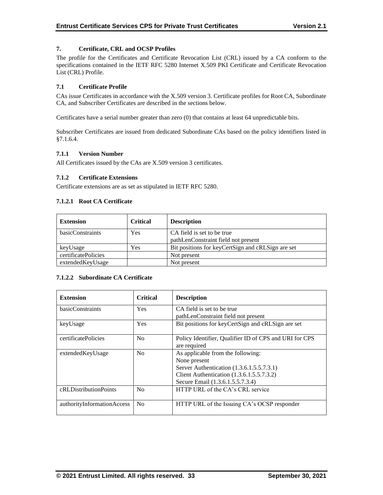## **7. Certificate, CRL and OCSP Profiles**

The profile for the Certificates and Certificate Revocation List (CRL) issued by a CA conform to the specifications contained in the IETF RFC 5280 Internet X.509 PKI Certificate and Certificate Revocation List (CRL) Profile.

#### **7.1 Certificate Profile**

CAs issue Certificates in accordance with the X.509 version 3. Certificate profiles for Root CA, Subordinate CA, and Subscriber Certificates are described in the sections below.

Certificates have a serial number greater than zero (0) that contains at least 64 unpredictable bits.

Subscriber Certificates are issued from dedicated Subordinate CAs based on the policy identifiers listed in §7.1.6.4.

#### **7.1.1 Version Number**

All Certificates issued by the CAs are X.509 version 3 certificates.

#### **7.1.2 Certificate Extensions**

Certificate extensions are as set as stipulated in IETF RFC 5280.

#### **7.1.2.1 Root CA Certificate**

| <b>Extension</b>    | <b>Critical</b> | <b>Description</b>                                |
|---------------------|-----------------|---------------------------------------------------|
| basicConstraints    | Yes             | CA field is set to be true                        |
|                     |                 | pathLenConstraint field not present               |
| keyUsage            | Yes             | Bit positions for keyCertSign and cRLSign are set |
| certificatePolicies |                 | Not present                                       |
| extendedKeyUsage    |                 | Not present                                       |

#### **7.1.2.2 Subordinate CA Certificate**

| <b>Extension</b>           | <b>Critical</b> | <b>Description</b>                                                                                                                                                              |
|----------------------------|-----------------|---------------------------------------------------------------------------------------------------------------------------------------------------------------------------------|
| basicConstraints           | <b>Yes</b>      | CA field is set to be true<br>pathLenConstraint field not present                                                                                                               |
| keyUsage                   | <b>Yes</b>      | Bit positions for keyCertSign and cRLSign are set                                                                                                                               |
| certificatePolicies        | N <sub>0</sub>  | Policy Identifier, Qualifier ID of CPS and URI for CPS<br>are required                                                                                                          |
| extendedKeyUsage           | N <sub>0</sub>  | As applicable from the following:<br>None present<br>Server Authentication (1.3.6.1.5.5.7.3.1)<br>Client Authentication (1.3.6.1.5.5.7.3.2)<br>Secure Email (1.3.6.1.5.5.7.3.4) |
| cRLDistributionPoints      | N <sub>0</sub>  | HTTP URL of the CA's CRL service                                                                                                                                                |
| authorityInformationAccess | No              | HTTP URL of the Issuing CA's OCSP responder                                                                                                                                     |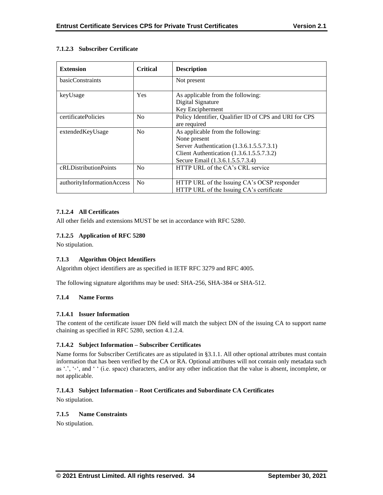## **7.1.2.3 Subscriber Certificate**

| <b>Extension</b>           | <b>Critical</b> | <b>Description</b>                                     |
|----------------------------|-----------------|--------------------------------------------------------|
| basicConstraints           |                 | Not present                                            |
| keyUsage                   | Yes             | As applicable from the following:                      |
|                            |                 | Digital Signature                                      |
|                            |                 | Key Encipherment                                       |
| certificatePolicies        | N <sub>o</sub>  | Policy Identifier, Qualifier ID of CPS and URI for CPS |
|                            |                 | are required                                           |
| extendedKeyUsage           | No              | As applicable from the following:                      |
|                            |                 | None present                                           |
|                            |                 | Server Authentication (1.3.6.1.5.5.7.3.1)              |
|                            |                 | Client Authentication (1.3.6.1.5.5.7.3.2)              |
|                            |                 | Secure Email (1.3.6.1.5.5.7.3.4)                       |
| cRLDistributionPoints      | No              | HTTP URL of the CA's CRL service                       |
|                            |                 |                                                        |
| authorityInformationAccess | N <sub>0</sub>  | HTTP URL of the Issuing CA's OCSP responder            |
|                            |                 | HTTP URL of the Issuing CA's certificate               |

## **7.1.2.4 All Certificates**

All other fields and extensions MUST be set in accordance with RFC 5280.

## **7.1.2.5 Application of RFC 5280**

No stipulation.

## **7.1.3 Algorithm Object Identifiers**

Algorithm object identifiers are as specified in IETF RFC 3279 and RFC 4005.

The following signature algorithms may be used: SHA-256, SHA-384 or SHA-512.

## **7.1.4 Name Forms**

## **7.1.4.1 Issuer Information**

The content of the certificate issuer DN field will match the subject DN of the issuing CA to support name chaining as specified in RFC 5280, section 4.1.2.4.

## **7.1.4.2 Subject Information – Subscriber Certificates**

Name forms for Subscriber Certificates are as stipulated in §3.1.1. All other optional attributes must contain information that has been verified by the CA or RA. Optional attributes will not contain only metadata such as '.', '-', and ' ' (i.e. space) characters, and/or any other indication that the value is absent, incomplete, or not applicable.

## **7.1.4.3 Subject Information – Root Certificates and Subordinate CA Certificates**

No stipulation.

## **7.1.5 Name Constraints**

No stipulation.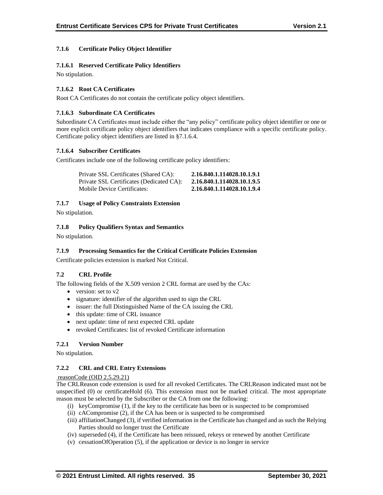## **7.1.6 Certificate Policy Object Identifier**

## **7.1.6.1 Reserved Certificate Policy Identifiers**

No stipulation.

## **7.1.6.2 Root CA Certificates**

Root CA Certificates do not contain the certificate policy object identifiers.

#### **7.1.6.3 Subordinate CA Certificates**

Subordinate CA Certificates must include either the "any policy" certificate policy object identifier or one or more explicit certificate policy object identifiers that indicates compliance with a specific certificate policy. Certificate policy object identifiers are listed in §7.1.6.4.

## **7.1.6.4 Subscriber Certificates**

Certificates include one of the following certificate policy identifiers:

| Private SSL Certificates (Shared CA):    | 2.16.840.1.114028.10.1.9.1 |
|------------------------------------------|----------------------------|
| Private SSL Certificates (Dedicated CA): | 2.16.840.1.114028.10.1.9.5 |
| Mobile Device Certificates:              | 2.16.840.1.114028.10.1.9.4 |

## **7.1.7 Usage of Policy Constraints Extension**

No stipulation.

## **7.1.8 Policy Qualifiers Syntax and Semantics**

No stipulation.

## **7.1.9 Processing Semantics for the Critical Certificate Policies Extension**

Certificate policies extension is marked Not Critical.

#### **7.2 CRL Profile**

The following fields of the X.509 version 2 CRL format are used by the CAs:

- version: set to v2
- signature: identifier of the algorithm used to sign the CRL
- issuer: the full Distinguished Name of the CA issuing the CRL
- this update: time of CRL issuance
- next update: time of next expected CRL update
- revoked Certificates: list of revoked Certificate information

## **7.2.1 Version Number**

No stipulation.

## **7.2.2 CRL and CRL Entry Extensions**

#### reasonCode (OID 2.5.29.21)

The CRLReason code extension is used for all revoked Certificates. The CRLReason indicated must not be unspecified (0) or certificateHold (6). This extension must not be marked critical. The most appropriate reason must be selected by the Subscriber or the CA from one the following:

- (i) keyCompromise (1), if the key to the certificate has been or is suspected to be compromised
- (ii) cACompromise (2), if the CA has been or is suspected to be compromised
- (iii) affiliationChanged (3), if verified information in the Certificate has changed and as such the Relying Parties should no longer trust the Certificate
- (iv) superseded (4), if the Certificate has been reissued, rekeys or renewed by another Certificate
- (v) cessationOfOperation (5), if the application or device is no longer in service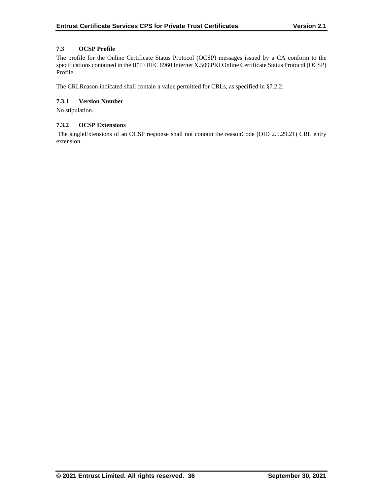## **7.3 OCSP Profile**

The profile for the Online Certificate Status Protocol (OCSP) messages issued by a CA conform to the specifications contained in the IETF RFC 6960 Internet X.509 PKI Online Certificate Status Protocol (OCSP) Profile.

The CRLReason indicated shall contain a value permitted for CRLs, as specified in §7.2.2.

## **7.3.1 Version Number**

No stipulation.

## **7.3.2 OCSP Extensions**

The singleExtensions of an OCSP response shall not contain the reasonCode (OID 2.5.29.21) CRL entry extension.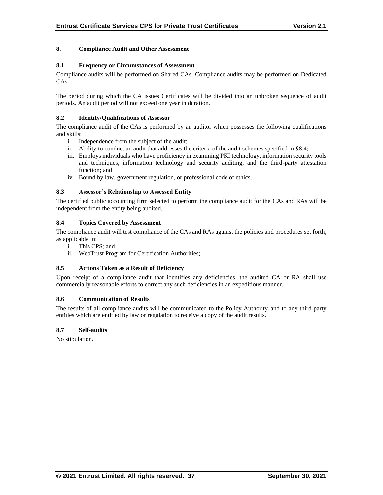## **8. Compliance Audit and Other Assessment**

#### **8.1 Frequency or Circumstances of Assessment**

Compliance audits will be performed on Shared CAs. Compliance audits may be performed on Dedicated CAs.

The period during which the CA issues Certificates will be divided into an unbroken sequence of audit periods. An audit period will not exceed one year in duration.

#### **8.2 Identity/Qualifications of Assessor**

The compliance audit of the CAs is performed by an auditor which possesses the following qualifications and skills:

- i. Independence from the subject of the audit;
- ii. Ability to conduct an audit that addresses the criteria of the audit schemes specified in §8.4;
- iii. Employs individuals who have proficiency in examining PKI technology, information security tools and techniques, information technology and security auditing, and the third-party attestation function; and
- iv. Bound by law, government regulation, or professional code of ethics.

#### **8.3 Assessor's Relationship to Assessed Entity**

The certified public accounting firm selected to perform the compliance audit for the CAs and RAs will be independent from the entity being audited.

#### **8.4 Topics Covered by Assessment**

The compliance audit will test compliance of the CAs and RAs against the policies and procedures set forth, as applicable in:

- i. This CPS; and
- ii. WebTrust Program for Certification Authorities;

#### **8.5 Actions Taken as a Result of Deficiency**

Upon receipt of a compliance audit that identifies any deficiencies, the audited CA or RA shall use commercially reasonable efforts to correct any such deficiencies in an expeditious manner.

#### **8.6 Communication of Results**

The results of all compliance audits will be communicated to the Policy Authority and to any third party entities which are entitled by law or regulation to receive a copy of the audit results.

#### **8.7 Self-audits**

No stipulation.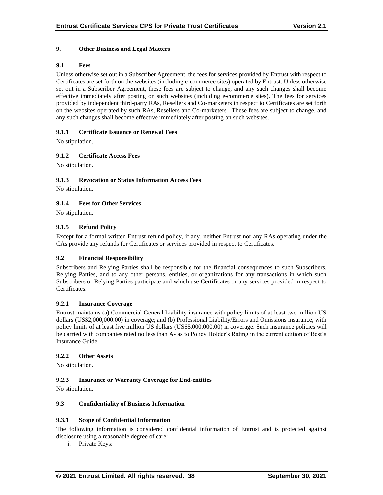## **9. Other Business and Legal Matters**

## **9.1 Fees**

Unless otherwise set out in a Subscriber Agreement, the fees for services provided by Entrust with respect to Certificates are set forth on the websites (including e-commerce sites) operated by Entrust. Unless otherwise set out in a Subscriber Agreement, these fees are subject to change, and any such changes shall become effective immediately after posting on such websites (including e-commerce sites). The fees for services provided by independent third-party RAs, Resellers and Co-marketers in respect to Certificates are set forth on the websites operated by such RAs, Resellers and Co-marketers. These fees are subject to change, and any such changes shall become effective immediately after posting on such websites.

## **9.1.1 Certificate Issuance or Renewal Fees**

No stipulation.

## **9.1.2 Certificate Access Fees**

No stipulation.

## **9.1.3 Revocation or Status Information Access Fees**

No stipulation.

## **9.1.4 Fees for Other Services**

No stipulation.

## **9.1.5 Refund Policy**

Except for a formal written Entrust refund policy, if any, neither Entrust nor any RAs operating under the CAs provide any refunds for Certificates or services provided in respect to Certificates.

#### **9.2 Financial Responsibility**

Subscribers and Relying Parties shall be responsible for the financial consequences to such Subscribers, Relying Parties, and to any other persons, entities, or organizations for any transactions in which such Subscribers or Relying Parties participate and which use Certificates or any services provided in respect to Certificates.

#### **9.2.1 Insurance Coverage**

Entrust maintains (a) Commercial General Liability insurance with policy limits of at least two million US dollars (US\$2,000,000.00) in coverage; and (b) Professional Liability/Errors and Omissions insurance, with policy limits of at least five million US dollars (US\$5,000,000.00) in coverage. Such insurance policies will be carried with companies rated no less than A- as to Policy Holder's Rating in the current edition of Best's Insurance Guide.

#### **9.2.2 Other Assets**

No stipulation.

## **9.2.3 Insurance or Warranty Coverage for End-entities**

No stipulation.

## **9.3 Confidentiality of Business Information**

#### **9.3.1 Scope of Confidential Information**

The following information is considered confidential information of Entrust and is protected against disclosure using a reasonable degree of care:

i. Private Keys;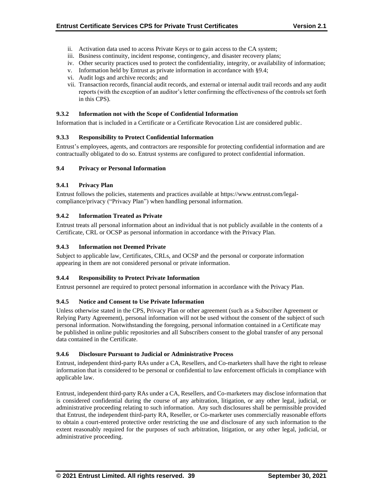- ii. Activation data used to access Private Keys or to gain access to the CA system;
- iii. Business continuity, incident response, contingency, and disaster recovery plans;
- iv. Other security practices used to protect the confidentiality, integrity, or availability of information;
- v. Information held by Entrust as private information in accordance with §9.4;
- vi. Audit logs and archive records; and
- vii. Transaction records, financial audit records, and external or internal audit trail records and any audit reports (with the exception of an auditor's letter confirming the effectiveness of the controls set forth in this CPS).

#### **9.3.2 Information not with the Scope of Confidential Information**

Information that is included in a Certificate or a Certificate Revocation List are considered public.

## **9.3.3 Responsibility to Protect Confidential Information**

Entrust's employees, agents, and contractors are responsible for protecting confidential information and are contractually obligated to do so. Entrust systems are configured to protect confidential information.

#### **9.4 Privacy or Personal Information**

## **9.4.1 Privacy Plan**

Entrust follows the policies, statements and practices available at https://www.entrust.com/legalcompliance/privacy ("Privacy Plan") when handling personal information.

## **9.4.2 Information Treated as Private**

Entrust treats all personal information about an individual that is not publicly available in the contents of a Certificate, CRL or OCSP as personal information in accordance with the Privacy Plan.

#### **9.4.3 Information not Deemed Private**

Subject to applicable law, Certificates, CRLs, and OCSP and the personal or corporate information appearing in them are not considered personal or private information.

#### **9.4.4 Responsibility to Protect Private Information**

Entrust personnel are required to protect personal information in accordance with the Privacy Plan.

#### **9.4.5 Notice and Consent to Use Private Information**

Unless otherwise stated in the CPS, Privacy Plan or other agreement (such as a Subscriber Agreement or Relying Party Agreement), personal information will not be used without the consent of the subject of such personal information. Notwithstanding the foregoing, personal information contained in a Certificate may be published in online public repositories and all Subscribers consent to the global transfer of any personal data contained in the Certificate.

#### **9.4.6 Disclosure Pursuant to Judicial or Administrative Process**

Entrust, independent third-party RAs under a CA, Resellers, and Co-marketers shall have the right to release information that is considered to be personal or confidential to law enforcement officials in compliance with applicable law.

Entrust, independent third-party RAs under a CA, Resellers, and Co-marketers may disclose information that is considered confidential during the course of any arbitration, litigation, or any other legal, judicial, or administrative proceeding relating to such information. Any such disclosures shall be permissible provided that Entrust, the independent third-party RA, Reseller, or Co-marketer uses commercially reasonable efforts to obtain a court-entered protective order restricting the use and disclosure of any such information to the extent reasonably required for the purposes of such arbitration, litigation, or any other legal, judicial, or administrative proceeding.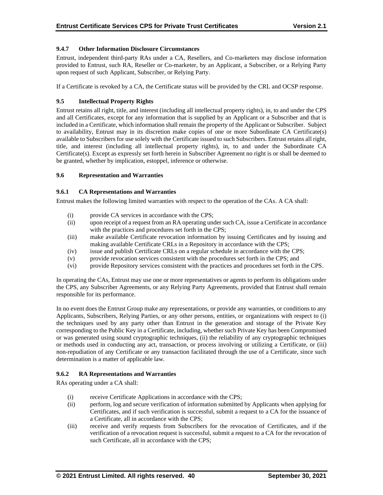## **9.4.7 Other Information Disclosure Circumstances**

Entrust, independent third-party RAs under a CA, Resellers, and Co-marketers may disclose information provided to Entrust, such RA, Reseller or Co-marketer, by an Applicant, a Subscriber, or a Relying Party upon request of such Applicant, Subscriber, or Relying Party.

If a Certificate is revoked by a CA, the Certificate status will be provided by the CRL and OCSP response.

## **9.5 Intellectual Property Rights**

Entrust retains all right, title, and interest (including all intellectual property rights), in, to and under the CPS and all Certificates, except for any information that is supplied by an Applicant or a Subscriber and that is included in a Certificate, which information shall remain the property of the Applicant or Subscriber. Subject to availability, Entrust may in its discretion make copies of one or more Subordinate CA Certificate(s) available to Subscribers for use solely with the Certificate issued to such Subscribers. Entrust retains all right, title, and interest (including all intellectual property rights), in, to and under the Subordinate CA Certificate(s). Except as expressly set forth herein in Subscriber Agreement no right is or shall be deemed to be granted, whether by implication, estoppel, inference or otherwise.

#### **9.6 Representation and Warranties**

## **9.6.1 CA Representations and Warranties**

Entrust makes the following limited warranties with respect to the operation of the CAs. A CA shall:

- (i) provide CA services in accordance with the CPS;
- (ii) upon receipt of a request from an RA operating under such CA, issue a Certificate in accordance with the practices and procedures set forth in the CPS;
- (iii) make available Certificate revocation information by issuing Certificates and by issuing and making available Certificate CRLs in a Repository in accordance with the CPS;
- (iv) issue and publish Certificate CRLs on a regular schedule in accordance with the CPS;
- (v) provide revocation services consistent with the procedures set forth in the CPS; and
- (vi) provide Repository services consistent with the practices and procedures set forth in the CPS.

In operating the CAs, Entrust may use one or more representatives or agents to perform its obligations under the CPS, any Subscriber Agreements, or any Relying Party Agreements, provided that Entrust shall remain responsible for its performance.

In no event does the Entrust Group make any representations, or provide any warranties, or conditions to any Applicants, Subscribers, Relying Parties, or any other persons, entities, or organizations with respect to (i) the techniques used by any party other than Entrust in the generation and storage of the Private Key corresponding to the Public Key in a Certificate, including, whether such Private Key has been Compromised or was generated using sound cryptographic techniques, (ii) the reliability of any cryptographic techniques or methods used in conducting any act, transaction, or process involving or utilizing a Certificate, or (iii) non-repudiation of any Certificate or any transaction facilitated through the use of a Certificate, since such determination is a matter of applicable law.

#### **9.6.2 RA Representations and Warranties**

RAs operating under a CA shall:

- (i) receive Certificate Applications in accordance with the CPS;
- (ii) perform, log and secure verification of information submitted by Applicants when applying for Certificates, and if such verification is successful, submit a request to a CA for the issuance of a Certificate, all in accordance with the CPS;
- (iii) receive and verify requests from Subscribers for the revocation of Certificates, and if the verification of a revocation request is successful, submit a request to a CA for the revocation of such Certificate, all in accordance with the CPS;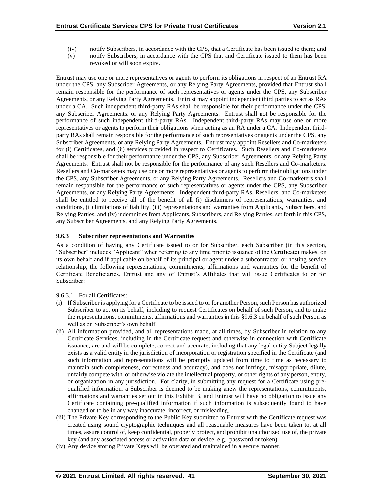- (iv) notify Subscribers, in accordance with the CPS, that a Certificate has been issued to them; and
- (v) notify Subscribers, in accordance with the CPS that and Certificate issued to them has been revoked or will soon expire.

Entrust may use one or more representatives or agents to perform its obligations in respect of an Entrust RA under the CPS, any Subscriber Agreements, or any Relying Party Agreements, provided that Entrust shall remain responsible for the performance of such representatives or agents under the CPS, any Subscriber Agreements, or any Relying Party Agreements. Entrust may appoint independent third parties to act as RAs under a CA. Such independent third-party RAs shall be responsible for their performance under the CPS, any Subscriber Agreements, or any Relying Party Agreements. Entrust shall not be responsible for the performance of such independent third-party RAs. Independent third-party RAs may use one or more representatives or agents to perform their obligations when acting as an RA under a CA. Independent thirdparty RAs shall remain responsible for the performance of such representatives or agents under the CPS, any Subscriber Agreements, or any Relying Party Agreements. Entrust may appoint Resellers and Co-marketers for (i) Certificates, and (ii) services provided in respect to Certificates. Such Resellers and Co-marketers shall be responsible for their performance under the CPS, any Subscriber Agreements, or any Relying Party Agreements. Entrust shall not be responsible for the performance of any such Resellers and Co-marketers. Resellers and Co-marketers may use one or more representatives or agents to perform their obligations under the CPS, any Subscriber Agreements, or any Relying Party Agreements. Resellers and Co-marketers shall remain responsible for the performance of such representatives or agents under the CPS, any Subscriber Agreements, or any Relying Party Agreements. Independent third-party RAs, Resellers, and Co-marketers shall be entitled to receive all of the benefit of all (i) disclaimers of representations, warranties, and conditions, (ii) limitations of liability, (iii) representations and warranties from Applicants, Subscribers, and Relying Parties, and (iv) indemnities from Applicants, Subscribers, and Relying Parties, set forth in this CPS, any Subscriber Agreements, and any Relying Party Agreements.

## **9.6.3 Subscriber representations and Warranties**

As a condition of having any Certificate issued to or for Subscriber, each Subscriber (in this section, "Subscriber" includes "Applicant" when referring to any time prior to issuance of the Certificate) makes, on its own behalf and if applicable on behalf of its principal or agent under a subcontractor or hosting service relationship, the following representations, commitments, affirmations and warranties for the benefit of Certificate Beneficiaries, Entrust and any of Entrust's Affiliates that will issue Certificates to or for Subscriber:

9.6.3.1 For all Certificates:

- (i) If Subscriber is applying for a Certificate to be issued to or for another Person, such Person has authorized Subscriber to act on its behalf, including to request Certificates on behalf of such Person, and to make the representations, commitments, affirmations and warranties in this §9.6.3 on behalf of such Person as well as on Subscriber's own behalf.
- (ii) All information provided, and all representations made, at all times, by Subscriber in relation to any Certificate Services, including in the Certificate request and otherwise in connection with Certificate issuance, are and will be complete, correct and accurate, including that any legal entity Subject legally exists as a valid entity in the jurisdiction of incorporation or registration specified in the Certificate (and such information and representations will be promptly updated from time to time as necessary to maintain such completeness, correctness and accuracy), and does not infringe, misappropriate, dilute, unfairly compete with, or otherwise violate the intellectual property, or other rights of any person, entity, or organization in any jurisdiction. For clarity, in submitting any request for a Certificate using prequalified information, a Subscriber is deemed to be making anew the representations, commitments, affirmations and warranties set out in this Exhibit B, and Entrust will have no obligation to issue any Certificate containing pre-qualified information if such information is subsequently found to have changed or to be in any way inaccurate, incorrect, or misleading.
- (iii) The Private Key corresponding to the Public Key submitted to Entrust with the Certificate request was created using sound cryptographic techniques and all reasonable measures have been taken to, at all times, assure control of, keep confidential, properly protect, and prohibit unauthorized use of, the private key (and any associated access or activation data or device, e.g., password or token).
- (iv) Any device storing Private Keys will be operated and maintained in a secure manner.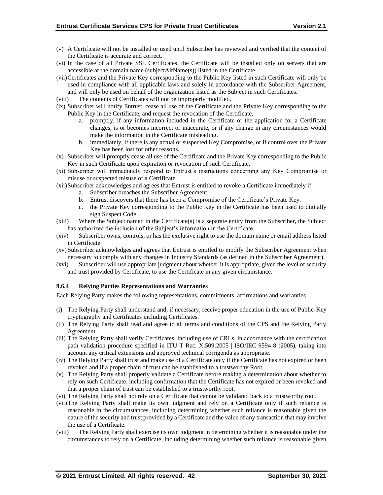- (v) A Certificate will not be installed or used until Subscriber has reviewed and verified that the content of the Certificate is accurate and correct.
- (vi) In the case of all Private SSL Certificates, the Certificate will be installed only on servers that are accessible at the domain name (subjectAltName(s)) listed in the Certificate.
- (vii)Certificates and the Private Key corresponding to the Public Key listed in such Certificate will only be used in compliance with all applicable laws and solely in accordance with the Subscriber Agreement, and will only be used on behalf of the organization listed as the Subject in such Certificates.
- (viii) The contents of Certificates will not be improperly modified.
- (ix) Subscriber will notify Entrust, cease all use of the Certificate and the Private Key corresponding to the Public Key in the Certificate, and request the revocation of the Certificate,
	- a. promptly, if any information included in the Certificate or the application for a Certificate changes, is or becomes incorrect or inaccurate, or if any change in any circumstances would make the information in the Certificate misleading.
	- b. immediately, if there is any actual or suspected Key Compromise, or if control over the Private Key has been lost for other reasons.
- (x) Subscriber will promptly cease all use of the Certificate and the Private Key corresponding to the Public Key in such Certificate upon expiration or revocation of such Certificate.
- (xi) Subscriber will immediately respond to Entrust's instructions concerning any Key Compromise or misuse or suspected misuse of a Certificate.
- (xii)Subscriber acknowledges and agrees that Entrust is entitled to revoke a Certificate immediately if:
	- a. Subscriber breaches the Subscriber Agreement.
	- b. Entrust discovers that there has been a Compromise of the Certificate's Private Key.
	- c. the Private Key corresponding to the Public Key in the Certificate has been used to digitally sign Suspect Code.
- (xiii) Where the Subject named in the Certificate(s) is a separate entity from the Subscriber, the Subject has authorized the inclusion of the Subject's information in the Certificate.
- (xiv) Subscriber owns, controls, or has the exclusive right to use the domain name or email address listed in Certificate.
- (xv)Subscriber acknowledges and agrees that Entrust is entitled to modify the Subscriber Agreement when necessary to comply with any changes in Industry Standards (as defined in the Subscriber Agreement).
- (xvi) Subscriber will use appropriate judgment about whether it is appropriate, given the level of security and trust provided by Certificate, to use the Certificate in any given circumstance.

#### **9.6.4 Relying Parties Representations and Warranties**

Each Relying Party makes the following representations, commitments, affirmations and warranties:

- (i) The Relying Party shall understand and, if necessary, receive proper education in the use of Public-Key cryptography and Certificates including Certificates.
- (ii) The Relying Party shall read and agree to all terms and conditions of the CPS and the Relying Party Agreement.
- (iii) The Relying Party shall verify Certificates, including use of CRLs, in accordance with the certification path validation procedure specified in ITU-T Rec. X.509:2005 | ISO/IEC 9594-8 (2005), taking into account any critical extensions and approved technical corrigenda as appropriate.
- (iv) The Relying Party shall trust and make use of a Certificate only if the Certificate has not expired or been revoked and if a proper chain of trust can be established to a trustworthy Root.
- (v) The Relying Party shall properly validate a Certificate before making a determination about whether to rely on such Certificate, including confirmation that the Certificate has not expired or been revoked and that a proper chain of trust can be established to a trustworthy root.
- (vi) The Relying Party shall not rely on a Certificate that cannot be validated back to a trustworthy root.
- (vii)The Relying Party shall make its own judgment and rely on a Certificate only if such reliance is reasonable in the circumstances, including determining whether such reliance is reasonable given the nature of the security and trust provided by a Certificate and the value of any transaction that may involve the use of a Certificate.
- (viii) The Relying Party shall exercise its own judgment in determining whether it is reasonable under the circumstances to rely on a Certificate, including determining whether such reliance is reasonable given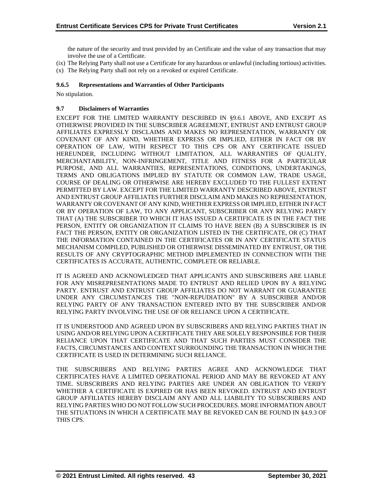the nature of the security and trust provided by an Certificate and the value of any transaction that may involve the use of a Certificate.

- (ix) The Relying Party shall not use a Certificate for any hazardous or unlawful (including tortious) activities.
- (x) The Relying Party shall not rely on a revoked or expired Certificate.

## **9.6.5 Representations and Warranties of Other Participants**

No stipulation.

#### **9.7 Disclaimers of Warranties**

EXCEPT FOR THE LIMITED WARRANTY DESCRIBED IN §9.6.1 ABOVE, AND EXCEPT AS OTHERWISE PROVIDED IN THE SUBSCRIBER AGREEMENT, ENTRUST AND ENTRUST GROUP AFFILIATES EXPRESSLY DISCLAIMS AND MAKES NO REPRESENTATION, WARRANTY OR COVENANT OF ANY KIND, WHETHER EXPRESS OR IMPLIED, EITHER IN FACT OR BY OPERATION OF LAW, WITH RESPECT TO THIS CPS OR ANY CERTIFICATE ISSUED HEREUNDER, INCLUDING WITHOUT LIMITATION, ALL WARRANTIES OF QUALITY, MERCHANTABILITY, NON-INFRINGEMENT, TITLE AND FITNESS FOR A PARTICULAR PURPOSE, AND ALL WARRANTIES, REPRESENTATIONS, CONDITIONS, UNDERTAKINGS, TERMS AND OBLIGATIONS IMPLIED BY STATUTE OR COMMON LAW, TRADE USAGE, COURSE OF DEALING OR OTHERWISE ARE HEREBY EXCLUDED TO THE FULLEST EXTENT PERMITTED BY LAW. EXCEPT FOR THE LIMITED WARRANTY DESCRIBED ABOVE, ENTRUST AND ENTRUST GROUP AFFILIATES FURTHER DISCLAIM AND MAKES NO REPRESENTATION, WARRANTY OR COVENANT OF ANY KIND, WHETHER EXPRESS OR IMPLIED, EITHER IN FACT OR BY OPERATION OF LAW, TO ANY APPLICANT, SUBSCRIBER OR ANY RELYING PARTY THAT (A) THE SUBSCRIBER TO WHICH IT HAS ISSUED A CERTIFICATE IS IN THE FACT THE PERSON, ENTITY OR ORGANIZATION IT CLAIMS TO HAVE BEEN (B) A SUBSCRIBER IS IN FACT THE PERSON, ENTITY OR ORGANIZATION LISTED IN THE CERTIFICATE, OR (C) THAT THE INFORMATION CONTAINED IN THE CERTIFICATES OR IN ANY CERTIFICATE STATUS MECHANISM COMPILED, PUBLISHED OR OTHERWISE DISSEMINATED BY ENTRUST, OR THE RESULTS OF ANY CRYPTOGRAPHIC METHOD IMPLEMENTED IN CONNECTION WITH THE CERTIFICATES IS ACCURATE, AUTHENTIC, COMPLETE OR RELIABLE.

IT IS AGREED AND ACKNOWLEDGED THAT APPLICANTS AND SUBSCRIBERS ARE LIABLE FOR ANY MISREPRESENTATIONS MADE TO ENTRUST AND RELIED UPON BY A RELYING PARTY. ENTRUST AND ENTRUST GROUP AFFILIATES DO NOT WARRANT OR GUARANTEE UNDER ANY CIRCUMSTANCES THE "NON-REPUDIATION" BY A SUBSCRIBER AND/OR RELYING PARTY OF ANY TRANSACTION ENTERED INTO BY THE SUBSCRIBER AND/OR RELYING PARTY INVOLVING THE USE OF OR RELIANCE UPON A CERTIFICATE.

IT IS UNDERSTOOD AND AGREED UPON BY SUBSCRIBERS AND RELYING PARTIES THAT IN USING AND/OR RELYING UPON A CERTIFICATE THEY ARE SOLELY RESPONSIBLE FOR THEIR RELIANCE UPON THAT CERTIFICATE AND THAT SUCH PARTIES MUST CONSIDER THE FACTS, CIRCUMSTANCES AND CONTEXT SURROUNDING THE TRANSACTION IN WHICH THE CERTIFICATE IS USED IN DETERMINING SUCH RELIANCE.

THE SUBSCRIBERS AND RELYING PARTIES AGREE AND ACKNOWLEDGE THAT CERTIFICATES HAVE A LIMITED OPERATIONAL PERIOD AND MAY BE REVOKED AT ANY TIME. SUBSCRIBERS AND RELYING PARTIES ARE UNDER AN OBLIGATION TO VERIFY WHETHER A CERTIFICATE IS EXPIRED OR HAS BEEN REVOKED. ENTRUST AND ENTRUST GROUP AFFILIATES HEREBY DISCLAIM ANY AND ALL LIABILITY TO SUBSCRIBERS AND RELYING PARTIES WHO DO NOT FOLLOW SUCH PROCEDURES. MORE INFORMATION ABOUT THE SITUATIONS IN WHICH A CERTIFICATE MAY BE REVOKED CAN BE FOUND IN §4.9.3 OF THIS CPS.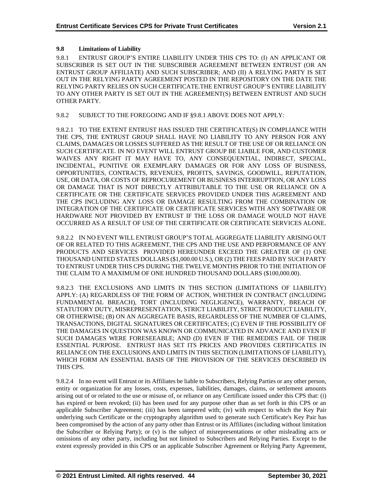## **9.8 Limitations of Liability**

9.8.1 ENTRUST GROUP'S ENTIRE LIABILITY UNDER THIS CPS TO: (I) AN APPLICANT OR SUBSCRIBER IS SET OUT IN THE SUBSCRIBER AGREEMENT BETWEEN ENTRUST (OR AN ENTRUST GROUP AFFILIATE) AND SUCH SUBSCRIBER; AND (II) A RELYING PARTY IS SET OUT IN THE RELYING PARTY AGREEMENT POSTED IN THE REPOSITORY ON THE DATE THE RELYING PARTY RELIES ON SUCH CERTIFICATE.THE ENTRUST GROUP'S ENTIRE LIABILITY TO ANY OTHER PARTY IS SET OUT IN THE AGREEMENT(S) BETWEEN ENTRUST AND SUCH OTHER PARTY.

9.8.2 SUBJECT TO THE FOREGOING AND IF §9.8.1 ABOVE DOES NOT APPLY:

9.8.2.1 TO THE EXTENT ENTRUST HAS ISSUED THE CERTIFICATE(S) IN COMPLIANCE WITH THE CPS, THE ENTRUST GROUP SHALL HAVE NO LIABILITY TO ANY PERSON FOR ANY CLAIMS, DAMAGES OR LOSSES SUFFERED AS THE RESULT OF THE USE OF OR RELIANCE ON SUCH CERTIFICATE. IN NO EVENT WILL ENTRUST GROUP BE LIABLE FOR, AND CUSTOMER WAIVES ANY RIGHT IT MAY HAVE TO, ANY CONSEQUENTIAL, INDIRECT, SPECIAL, INCIDENTAL, PUNITIVE OR EXEMPLARY DAMAGES OR FOR ANY LOSS OF BUSINESS, OPPORTUNITIES, CONTRACTS, REVENUES, PROFITS, SAVINGS, GOODWILL, REPUTATION, USE, OR DATA, OR COSTS OF REPROCUREMENT OR BUSINESS INTERRUPTION, OR ANY LOSS OR DAMAGE THAT IS NOT DIRECTLY ATTRIBUTABLE TO THE USE OR RELIANCE ON A CERTIFICATE OR THE CERTIFICATE SERVICES PROVIDED UNDER THIS AGREEMENT AND THE CPS INCLUDING ANY LOSS OR DAMAGE RESULTING FROM THE COMBINATION OR INTEGRATION OF THE CERTIFICATE OR CERTIFICATE SERVICES WITH ANY SOFTWARE OR HARDWARE NOT PROVIDED BY ENTRUST IF THE LOSS OR DAMAGE WOULD NOT HAVE OCCURRED AS A RESULT OF USE OF THE CERTIFICATE OR CERTIFICATE SERVICES ALONE.

9.8.2.2 IN NO EVENT WILL ENTRUST GROUP'S TOTAL AGGREGATE LIABILITY ARISING OUT OF OR RELATED TO THIS AGREEMENT, THE CPS AND THE USE AND PERFORMANCE OF ANY PRODUCTS AND SERVICES PROVIDED HEREUNDER EXCEED THE GREATER OF (1) ONE THOUSAND UNITED STATES DOLLARS (\$1,000.00 U.S.), OR (2) THE FEES PAID BY SUCH PARTY TO ENTRUST UNDER THIS CPS DURING THE TWELVE MONTHS PRIOR TO THE INITIATION OF THE CLAIM TO A MAXIMUM OF ONE HUNDRED THOUSAND DOLLARS (\$100,000.00).

9.8.2.3 THE EXCLUSIONS AND LIMITS IN THIS SECTION (LIMITATIONS OF LIABILITY) APPLY: (A) REGARDLESS OF THE FORM OF ACTION, WHETHER IN CONTRACT (INCLUDING FUNDAMENTAL BREACH), TORT (INCLUDING NEGLIGENCE), WARRANTY, BREACH OF STATUTORY DUTY, MISREPRESENTATION, STRICT LIABILITY, STRICT PRODUCT LIABILITY, OR OTHERWISE; (B) ON AN AGGREGATE BASIS, REGARDLESS OF THE NUMBER OF CLAIMS, TRANSACTIONS, DIGITAL SIGNATURES OR CERTIFICATES; (C) EVEN IF THE POSSIBILITY OF THE DAMAGES IN QUESTION WAS KNOWN OR COMMUNICATED IN ADVANCE AND EVEN IF SUCH DAMAGES WERE FORESEEABLE; AND (D) EVEN IF THE REMEDIES FAIL OF THEIR ESSENTIAL PURPOSE. ENTRUST HAS SET ITS PRICES AND PROVIDES CERTIFICATES IN RELIANCE ON THE EXCLUSIONS AND LIMITS IN THIS SECTION (LIMITATIONS OF LIABILITY), WHICH FORM AN ESSENTIAL BASIS OF THE PROVISION OF THE SERVICES DESCRIBED IN THIS CPS.

9.8.2.4 In no event will Entrust or its Affiliates be liable to Subscribers, Relying Parties or any other person, entity or organization for any losses, costs, expenses, liabilities, damages, claims, or settlement amounts arising out of or related to the use or misuse of, or reliance on any Certificate issued under this CPS that: (i) has expired or been revoked; (ii) has been used for any purpose other than as set forth in this CPS or an applicable Subscriber Agreement; (iii) has been tampered with; (iv) with respect to which the Key Pair underlying such Certificate or the cryptography algorithm used to generate such Certificate's Key Pair has been compromised by the action of any party other than Entrust or its Affiliates (including without limitation the Subscriber or Relying Party); or (v) is the subject of misrepresentations or other misleading acts or omissions of any other party, including but not limited to Subscribers and Relying Parties. Except to the extent expressly provided in this CPS or an applicable Subscriber Agreement or Relying Party Agreement,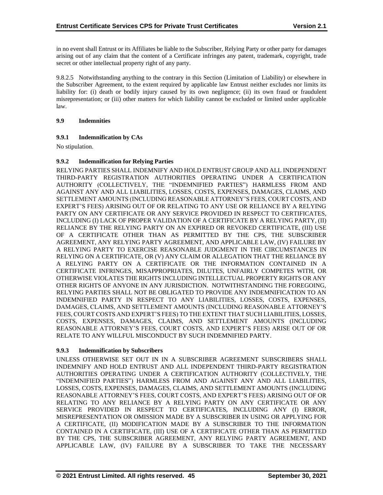in no event shall Entrust or its Affiliates be liable to the Subscriber, Relying Party or other party for damages arising out of any claim that the content of a Certificate infringes any patent, trademark, copyright, trade secret or other intellectual property right of any party.

9.8.2.5 Notwithstanding anything to the contrary in this Section (Limitation of Liability) or elsewhere in the Subscriber Agreement, to the extent required by applicable law Entrust neither excludes nor limits its liability for: (i) death or bodily injury caused by its own negligence; (ii) its own fraud or fraudulent misrepresentation; or (iii) other matters for which liability cannot be excluded or limited under applicable law.

#### **9.9 Indemnities**

## **9.9.1 Indemnification by CAs**

No stipulation.

## **9.9.2 Indemnification for Relying Parties**

RELYING PARTIES SHALL INDEMNIFY AND HOLD ENTRUST GROUP AND ALL INDEPENDENT THIRD-PARTY REGISTRATION AUTHORITIES OPERATING UNDER A CERTIFICATION AUTHORITY (COLLECTIVELY, THE "INDEMNIFIED PARTIES") HARMLESS FROM AND AGAINST ANY AND ALL LIABILITIES, LOSSES, COSTS, EXPENSES, DAMAGES, CLAIMS, AND SETTLEMENT AMOUNTS (INCLUDING REASONABLE ATTORNEY'S FEES, COURT COSTS, AND EXPERT'S FEES) ARISING OUT OF OR RELATING TO ANY USE OR RELIANCE BY A RELYING PARTY ON ANY CERTIFICATE OR ANY SERVICE PROVIDED IN RESPECT TO CERTIFICATES, INCLUDING (I) LACK OF PROPER VALIDATION OF A CERTIFICATE BY A RELYING PARTY, (II) RELIANCE BY THE RELYING PARTY ON AN EXPIRED OR REVOKED CERTIFICATE, (III) USE OF A CERTIFICATE OTHER THAN AS PERMITTED BY THE CPS, THE SUBSCRIBER AGREEMENT, ANY RELYING PARTY AGREEMENT, AND APPLICABLE LAW, (IV) FAILURE BY A RELYING PARTY TO EXERCISE REASONABLE JUDGMENT IN THE CIRCUMSTANCES IN RELYING ON A CERTIFICATE, OR (V) ANY CLAIM OR ALLEGATION THAT THE RELIANCE BY A RELYING PARTY ON A CERTIFICATE OR THE INFORMATION CONTAINED IN A CERTIFICATE INFRINGES, MISAPPROPRIATES, DILUTES, UNFAIRLY COMPETES WITH, OR OTHERWISE VIOLATES THE RIGHTS INCLUDING INTELLECTUAL PROPERTY RIGHTS OR ANY OTHER RIGHTS OF ANYONE IN ANY JURISDICTION. NOTWITHSTANDING THE FOREGOING, RELYING PARTIES SHALL NOT BE OBLIGATED TO PROVIDE ANY INDEMNIFICATION TO AN INDEMNIFIED PARTY IN RESPECT TO ANY LIABILITIES, LOSSES, COSTS, EXPENSES, DAMAGES, CLAIMS, AND SETTLEMENT AMOUNTS (INCLUDING REASONABLE ATTORNEY'S FEES, COURT COSTS AND EXPERT'S FEES) TO THE EXTENT THAT SUCH LIABILITIES, LOSSES, COSTS, EXPENSES, DAMAGES, CLAIMS, AND SETTLEMENT AMOUNTS (INCLUDING REASONABLE ATTORNEY'S FEES, COURT COSTS, AND EXPERT'S FEES) ARISE OUT OF OR RELATE TO ANY WILLFUL MISCONDUCT BY SUCH INDEMNIFIED PARTY.

#### **9.9.3 Indemnification by Subscribers**

UNLESS OTHERWISE SET OUT IN IN A SUBSCRIBER AGREEMENT SUBSCRIBERS SHALL INDEMNIFY AND HOLD ENTRUST AND ALL INDEPENDENT THIRD-PARTY REGISTRATION AUTHORITIES OPERATING UNDER A CERTIFICATION AUTHORITY (COLLECTIVELY, THE "INDEMNIFIED PARTIES") HARMLESS FROM AND AGAINST ANY AND ALL LIABILITIES, LOSSES, COSTS, EXPENSES, DAMAGES, CLAIMS, AND SETTLEMENT AMOUNTS (INCLUDING REASONABLE ATTORNEY'S FEES, COURT COSTS, AND EXPERT'S FEES) ARISING OUT OF OR RELATING TO ANY RELIANCE BY A RELYING PARTY ON ANY CERTIFICATE OR ANY SERVICE PROVIDED IN RESPECT TO CERTIFICATES, INCLUDING ANY (I) ERROR, MISREPRESENTATION OR OMISSION MADE BY A SUBSCRIBER IN USING OR APPLYING FOR A CERTIFICATE, (II) MODIFICATION MADE BY A SUBSCRIBER TO THE INFORMATION CONTAINED IN A CERTIFICATE, (III) USE OF A CERTIFICATE OTHER THAN AS PERMITTED BY THE CPS, THE SUBSCRIBER AGREEMENT, ANY RELYING PARTY AGREEMENT, AND APPLICABLE LAW, (IV) FAILURE BY A SUBSCRIBER TO TAKE THE NECESSARY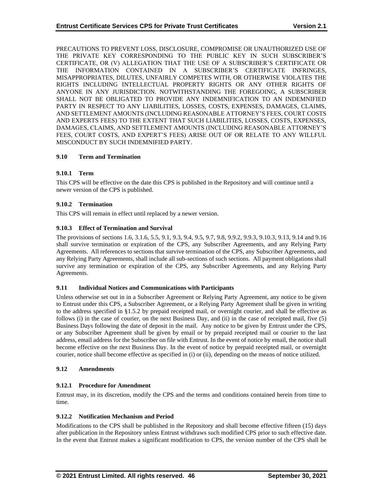PRECAUTIONS TO PREVENT LOSS, DISCLOSURE, COMPROMISE OR UNAUTHORIZED USE OF THE PRIVATE KEY CORRESPONDING TO THE PUBLIC KEY IN SUCH SUBSCRIBER'S CERTIFICATE, OR (V) ALLEGATION THAT THE USE OF A SUBSCRIBER'S CERTIFICATE OR THE INFORMATION CONTAINED IN A SUBSCRIBER'S CERTIFICATE INFRINGES, MISAPPROPRIATES, DILUTES, UNFAIRLY COMPETES WITH, OR OTHERWISE VIOLATES THE RIGHTS INCLUDING INTELLECTUAL PROPERTY RIGHTS OR ANY OTHER RIGHTS OF ANYONE IN ANY JURISDICTION. NOTWITHSTANDING THE FOREGOING, A SUBSCRIBER SHALL NOT BE OBLIGATED TO PROVIDE ANY INDEMNIFICATION TO AN INDEMNIFIED PARTY IN RESPECT TO ANY LIABILITIES, LOSSES, COSTS, EXPENSES, DAMAGES, CLAIMS, AND SETTLEMENT AMOUNTS (INCLUDING REASONABLE ATTORNEY'S FEES, COURT COSTS AND EXPERTS FEES) TO THE EXTENT THAT SUCH LIABILITIES, LOSSES, COSTS, EXPENSES, DAMAGES, CLAIMS, AND SETTLEMENT AMOUNTS (INCLUDING REASONABLE ATTORNEY'S FEES, COURT COSTS, AND EXPERT'S FEES) ARISE OUT OF OR RELATE TO ANY WILLFUL MISCONDUCT BY SUCH INDEMNIFIED PARTY.

## **9.10 Term and Termination**

## **9.10.1 Term**

This CPS will be effective on the date this CPS is published in the Repository and will continue until a newer version of the CPS is published.

## **9.10.2 Termination**

This CPS will remain in effect until replaced by a newer version.

## **9.10.3 Effect of Termination and Survival**

The provisions of sections 1.6, 3.1.6, 5.5, 9.1, 9.3, 9.4, 9.5, 9.7, 9.8, 9.9.2, 9.9.3, 9.10.3, 9.13, 9.14 and 9.16 shall survive termination or expiration of the CPS, any Subscriber Agreements, and any Relying Party Agreements. All references to sections that survive termination of the CPS, any Subscriber Agreements, and any Relying Party Agreements, shall include all sub-sections of such sections. All payment obligations shall survive any termination or expiration of the CPS, any Subscriber Agreements, and any Relying Party Agreements.

#### **9.11 Individual Notices and Communications with Participants**

Unless otherwise set out in in a Subscriber Agreement or Relying Party Agreement, any notice to be given to Entrust under this CPS, a Subscriber Agreement, or a Relying Party Agreement shall be given in writing to the address specified in §1.5.2 by prepaid receipted mail, or overnight courier, and shall be effective as follows (i) in the case of courier, on the next Business Day, and (ii) in the case of receipted mail, five (5) Business Days following the date of deposit in the mail. Any notice to be given by Entrust under the CPS, or any Subscriber Agreement shall be given by email or by prepaid receipted mail or courier to the last address, email address for the Subscriber on file with Entrust. In the event of notice by email, the notice shall become effective on the next Business Day. In the event of notice by prepaid receipted mail, or overnight courier, notice shall become effective as specified in (i) or (ii), depending on the means of notice utilized.

#### **9.12 Amendments**

#### **9.12.1 Procedure for Amendment**

Entrust may, in its discretion, modify the CPS and the terms and conditions contained herein from time to time.

#### **9.12.2 Notification Mechanism and Period**

Modifications to the CPS shall be published in the Repository and shall become effective fifteen (15) days after publication in the Repository unless Entrust withdraws such modified CPS prior to such effective date. In the event that Entrust makes a significant modification to CPS, the version number of the CPS shall be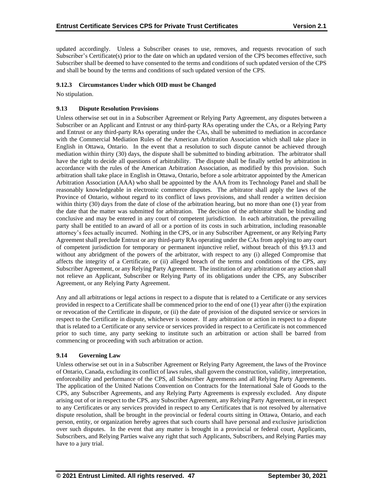updated accordingly. Unless a Subscriber ceases to use, removes, and requests revocation of such Subscriber's Certificate(s) prior to the date on which an updated version of the CPS becomes effective, such Subscriber shall be deemed to have consented to the terms and conditions of such updated version of the CPS and shall be bound by the terms and conditions of such updated version of the CPS.

## **9.12.3 Circumstances Under which OID must be Changed**

No stipulation.

## **9.13 Dispute Resolution Provisions**

Unless otherwise set out in in a Subscriber Agreement or Relying Party Agreement, any disputes between a Subscriber or an Applicant and Entrust or any third-party RAs operating under the CAs, or a Relying Party and Entrust or any third-party RAs operating under the CAs, shall be submitted to mediation in accordance with the Commercial Mediation Rules of the American Arbitration Association which shall take place in English in Ottawa, Ontario. In the event that a resolution to such dispute cannot be achieved through mediation within thirty (30) days, the dispute shall be submitted to binding arbitration. The arbitrator shall have the right to decide all questions of arbitrability. The dispute shall be finally settled by arbitration in accordance with the rules of the American Arbitration Association, as modified by this provision. Such arbitration shall take place in English in Ottawa, Ontario, before a sole arbitrator appointed by the American Arbitration Association (AAA) who shall be appointed by the AAA from its Technology Panel and shall be reasonably knowledgeable in electronic commerce disputes. The arbitrator shall apply the laws of the Province of Ontario, without regard to its conflict of laws provisions, and shall render a written decision within thirty (30) days from the date of close of the arbitration hearing, but no more than one (1) year from the date that the matter was submitted for arbitration. The decision of the arbitrator shall be binding and conclusive and may be entered in any court of competent jurisdiction. In each arbitration, the prevailing party shall be entitled to an award of all or a portion of its costs in such arbitration, including reasonable attorney's fees actually incurred. Nothing in the CPS, or in any Subscriber Agreement, or any Relying Party Agreement shall preclude Entrust or any third-party RAs operating under the CAs from applying to any court of competent jurisdiction for temporary or permanent injunctive relief, without breach of this §9.13 and without any abridgment of the powers of the arbitrator, with respect to any (i) alleged Compromise that affects the integrity of a Certificate, or (ii) alleged breach of the terms and conditions of the CPS, any Subscriber Agreement, or any Relying Party Agreement. The institution of any arbitration or any action shall not relieve an Applicant, Subscriber or Relying Party of its obligations under the CPS, any Subscriber Agreement, or any Relying Party Agreement.

Any and all arbitrations or legal actions in respect to a dispute that is related to a Certificate or any services provided in respect to a Certificate shall be commenced prior to the end of one (1) year after (i) the expiration or revocation of the Certificate in dispute, or (ii) the date of provision of the disputed service or services in respect to the Certificate in dispute, whichever is sooner. If any arbitration or action in respect to a dispute that is related to a Certificate or any service or services provided in respect to a Certificate is not commenced prior to such time, any party seeking to institute such an arbitration or action shall be barred from commencing or proceeding with such arbitration or action.

#### **9.14 Governing Law**

Unless otherwise set out in in a Subscriber Agreement or Relying Party Agreement, the laws of the Province of Ontario, Canada, excluding its conflict of laws rules, shall govern the construction, validity, interpretation, enforceability and performance of the CPS, all Subscriber Agreements and all Relying Party Agreements. The application of the United Nations Convention on Contracts for the International Sale of Goods to the CPS, any Subscriber Agreements, and any Relying Party Agreements is expressly excluded. Any dispute arising out of or in respect to the CPS, any Subscriber Agreement, any Relying Party Agreement, or in respect to any Certificates or any services provided in respect to any Certificates that is not resolved by alternative dispute resolution, shall be brought in the provincial or federal courts sitting in Ottawa, Ontario, and each person, entity, or organization hereby agrees that such courts shall have personal and exclusive jurisdiction over such disputes. In the event that any matter is brought in a provincial or federal court, Applicants, Subscribers, and Relying Parties waive any right that such Applicants, Subscribers, and Relying Parties may have to a jury trial.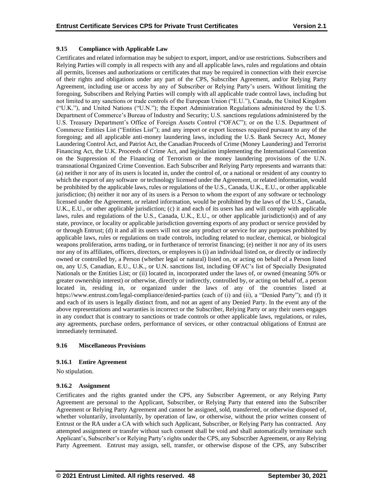## **9.15 Compliance with Applicable Law**

Certificates and related information may be subject to export, import, and/or use restrictions. Subscribers and Relying Parties will comply in all respects with any and all applicable laws, rules and regulations and obtain all permits, licenses and authorizations or certificates that may be required in connection with their exercise of their rights and obligations under any part of the CPS, Subscriber Agreement, and/or Relying Party Agreement, including use or access by any of Subscriber or Relying Party's users. Without limiting the foregoing, Subscribers and Relying Parties will comply with all applicable trade control laws, including but not limited to any sanctions or trade controls of the European Union ("E.U."), Canada, the United Kingdom ("U.K."), and United Nations ("U.N."); the Export Administration Regulations administered by the U.S. Department of Commerce's Bureau of Industry and Security; U.S. sanctions regulations administered by the U.S. Treasury Department's Office of Foreign Assets Control ("OFAC"); or on the U.S. Department of Commerce Entities List ("Entities List"); and any import or export licenses required pursuant to any of the foregoing; and all applicable anti-money laundering laws, including the U.S. Bank Secrecy Act, Money Laundering Control Act, and Patriot Act, the Canadian Proceeds of Crime (Money Laundering) and Terrorist Financing Act, the U.K. Proceeds of Crime Act, and legislation implementing the International Convention on the Suppression of the Financing of Terrorism or the money laundering provisions of the U.N. transnational Organized Crime Convention. Each Subscriber and Relying Party represents and warrants that: (a) neither it nor any of its users is located in, under the control of, or a national or resident of any country to which the export of any software or technology licensed under the Agreement, or related information, would be prohibited by the applicable laws, rules or regulations of the U.S., Canada, U.K., E.U., or other applicable jurisdiction; (b) neither it nor any of its users is a Person to whom the export of any software or technology licensed under the Agreement, or related information, would be prohibited by the laws of the U.S., Canada, U.K., E.U., or other applicable jurisdiction; (c) it and each of its users has and will comply with applicable laws, rules and regulations of the U.S., Canada, U.K., E.U., or other applicable jurisdiction(s) and of any state, province, or locality or applicable jurisdiction governing exports of any product or service provided by or through Entrust; (d) it and all its users will not use any product or service for any purposes prohibited by applicable laws, rules or regulations on trade controls, including related to nuclear, chemical, or biological weapons proliferation, arms trading, or in furtherance of terrorist financing; (e) neither it nor any of its users nor any of its affiliates, officers, directors, or employees is (i) an individual listed on, or directly or indirectly owned or controlled by, a Person (whether legal or natural) listed on, or acting on behalf of a Person listed on, any U.S, Canadian, E.U., U.K., or U.N. sanctions list, including OFAC's list of Specially Designated Nationals or the Entities List; or (ii) located in, incorporated under the laws of, or owned (meaning 50% or greater ownership interest) or otherwise, directly or indirectly, controlled by, or acting on behalf of, a person located in, residing in, or organized under the laws of any of the countries listed at https://www.entrust.com/legal-compliance/denied-parties (each of (i) and (ii), a "Denied Party"); and (f) it and each of its users is legally distinct from, and not an agent of any Denied Party. In the event any of the above representations and warranties is incorrect or the Subscriber, Relying Party or any their users engages in any conduct that is contrary to sanctions or trade controls or other applicable laws, regulations, or rules, any agreements, purchase orders, performance of services, or other contractual obligations of Entrust are immediately terminated.

#### **9.16 Miscellaneous Provisions**

#### **9.16.1 Entire Agreement**

No stipulation.

#### **9.16.2 Assignment**

Certificates and the rights granted under the CPS, any Subscriber Agreement, or any Relying Party Agreement are personal to the Applicant, Subscriber, or Relying Party that entered into the Subscriber Agreement or Relying Party Agreement and cannot be assigned, sold, transferred, or otherwise disposed of, whether voluntarily, involuntarily, by operation of law, or otherwise, without the prior written consent of Entrust or the RA under a CA with which such Applicant, Subscriber, or Relying Party has contracted. Any attempted assignment or transfer without such consent shall be void and shall automatically terminate such Applicant's, Subscriber's or Relying Party's rights under the CPS, any Subscriber Agreement, or any Relying Party Agreement. Entrust may assign, sell, transfer, or otherwise dispose of the CPS, any Subscriber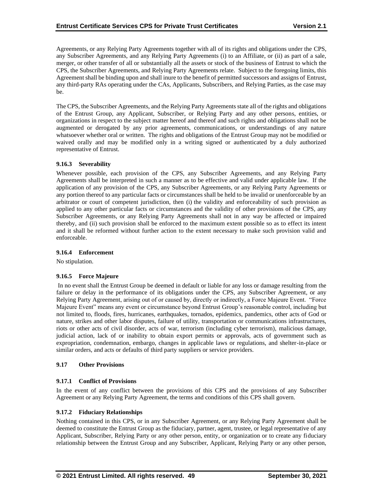Agreements, or any Relying Party Agreements together with all of its rights and obligations under the CPS, any Subscriber Agreements, and any Relying Party Agreements (i) to an Affiliate, or (ii) as part of a sale, merger, or other transfer of all or substantially all the assets or stock of the business of Entrust to which the CPS, the Subscriber Agreements, and Relying Party Agreements relate. Subject to the foregoing limits, this Agreement shall be binding upon and shall inure to the benefit of permitted successors and assigns of Entrust, any third-party RAs operating under the CAs, Applicants, Subscribers, and Relying Parties, as the case may be.

The CPS, the Subscriber Agreements, and the Relying Party Agreements state all of the rights and obligations of the Entrust Group, any Applicant, Subscriber, or Relying Party and any other persons, entities, or organizations in respect to the subject matter hereof and thereof and such rights and obligations shall not be augmented or derogated by any prior agreements, communications, or understandings of any nature whatsoever whether oral or written. The rights and obligations of the Entrust Group may not be modified or waived orally and may be modified only in a writing signed or authenticated by a duly authorized representative of Entrust.

## **9.16.3 Severability**

Whenever possible, each provision of the CPS, any Subscriber Agreements, and any Relying Party Agreements shall be interpreted in such a manner as to be effective and valid under applicable law. If the application of any provision of the CPS, any Subscriber Agreements, or any Relying Party Agreements or any portion thereof to any particular facts or circumstances shall be held to be invalid or unenforceable by an arbitrator or court of competent jurisdiction, then (i) the validity and enforceability of such provision as applied to any other particular facts or circumstances and the validity of other provisions of the CPS, any Subscriber Agreements, or any Relying Party Agreements shall not in any way be affected or impaired thereby, and (ii) such provision shall be enforced to the maximum extent possible so as to effect its intent and it shall be reformed without further action to the extent necessary to make such provision valid and enforceable.

#### **9.16.4 Enforcement**

No stipulation.

#### **9.16.5 Force Majeure**

In no event shall the Entrust Group be deemed in default or liable for any loss or damage resulting from the failure or delay in the performance of its obligations under the CPS, any Subscriber Agreement, or any Relying Party Agreement, arising out of or caused by, directly or indirectly, a Force Majeure Event. "Force Majeure Event" means any event or circumstance beyond Entrust Group's reasonable control, including but not limited to, floods, fires, hurricanes, earthquakes, tornados, epidemics, pandemics, other acts of God or nature, strikes and other labor disputes, failure of utility, transportation or communications infrastructures, riots or other acts of civil disorder, acts of war, terrorism (including cyber terrorism), malicious damage, judicial action, lack of or inability to obtain export permits or approvals, acts of government such as expropriation, condemnation, embargo, changes in applicable laws or regulations, and shelter-in-place or similar orders, and acts or defaults of third party suppliers or service providers.

#### **9.17 Other Provisions**

#### **9.17.1 Conflict of Provisions**

In the event of any conflict between the provisions of this CPS and the provisions of any Subscriber Agreement or any Relying Party Agreement, the terms and conditions of this CPS shall govern.

#### **9.17.2 Fiduciary Relationships**

Nothing contained in this CPS, or in any Subscriber Agreement, or any Relying Party Agreement shall be deemed to constitute the Entrust Group as the fiduciary, partner, agent, trustee, or legal representative of any Applicant, Subscriber, Relying Party or any other person, entity, or organization or to create any fiduciary relationship between the Entrust Group and any Subscriber, Applicant, Relying Party or any other person,